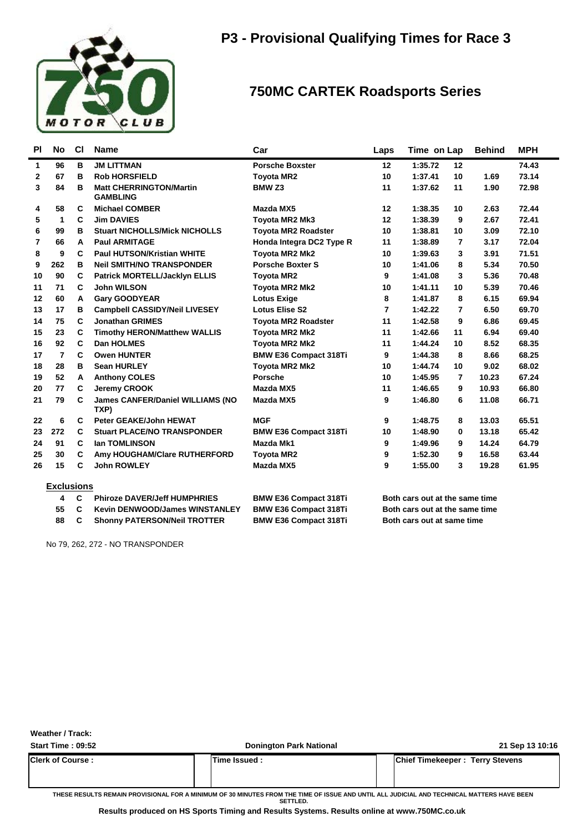

| PI          | <b>No</b>         | <b>CI</b> | <b>Name</b>                                       | Car                          | Laps | Time on Lap                    |    | <b>Behind</b> | <b>MPH</b> |  |
|-------------|-------------------|-----------|---------------------------------------------------|------------------------------|------|--------------------------------|----|---------------|------------|--|
| 1           | 96                | в         | <b>JM LITTMAN</b>                                 | <b>Porsche Boxster</b>       | 12   | 1:35.72                        | 12 |               | 74.43      |  |
| $\mathbf 2$ | 67                | в         | <b>Rob HORSFIELD</b>                              | <b>Toyota MR2</b>            | 10   | 1:37.41                        | 10 | 1.69          | 73.14      |  |
| 3           | 84                | в         | <b>Matt CHERRINGTON/Martin</b><br><b>GAMBLING</b> | BMW <sub>Z3</sub>            | 11   | 1:37.62                        | 11 | 1.90          | 72.98      |  |
| 4           | 58                | C         | <b>Michael COMBER</b>                             | Mazda MX5                    | 12   | 1:38.35                        | 10 | 2.63          | 72.44      |  |
| 5           | 1                 | C         | <b>Jim DAVIES</b>                                 | Toyota MR2 Mk3               | 12   | 1:38.39                        | 9  | 2.67          | 72.41      |  |
| 6           | 99                | в         | <b>Stuart NICHOLLS/Mick NICHOLLS</b>              | <b>Toyota MR2 Roadster</b>   | 10   | 1:38.81                        | 10 | 3.09          | 72.10      |  |
| 7           | 66                | A         | <b>Paul ARMITAGE</b>                              | Honda Integra DC2 Type R     | 11   | 1:38.89                        | 7  | 3.17          | 72.04      |  |
| 8           | 9                 | C         | <b>Paul HUTSON/Kristian WHITE</b>                 | Toyota MR2 Mk2               | 10   | 1:39.63                        | 3  | 3.91          | 71.51      |  |
| 9           | 262               | в         | <b>Neil SMITH/NO TRANSPONDER</b>                  | <b>Porsche Boxter S</b>      | 10   | 1:41.06                        | 8  | 5.34          | 70.50      |  |
| 10          | 90                | C         | <b>Patrick MORTELL/Jacklyn ELLIS</b>              | <b>Toyota MR2</b>            | 9    | 1:41.08                        | 3  | 5.36          | 70.48      |  |
| 11          | 71                | C         | <b>John WILSON</b>                                | Toyota MR2 Mk2               | 10   | 1:41.11                        | 10 | 5.39          | 70.46      |  |
| 12          | 60                | A         | <b>Gary GOODYEAR</b>                              | <b>Lotus Exige</b>           | 8    | 1:41.87                        | 8  | 6.15          | 69.94      |  |
| 13          | 17                | в         | <b>Campbell CASSIDY/Neil LIVESEY</b>              | <b>Lotus Elise S2</b>        | 7    | 1:42.22                        | 7  | 6.50          | 69.70      |  |
| 14          | 75                | C         | <b>Jonathan GRIMES</b>                            | <b>Toyota MR2 Roadster</b>   | 11   | 1:42.58                        | 9  | 6.86          | 69.45      |  |
| 15          | 23                | C         | <b>Timothy HERON/Matthew WALLIS</b>               | Toyota MR2 Mk2               | 11   | 1:42.66                        | 11 | 6.94          | 69.40      |  |
| 16          | 92                | C         | Dan HOLMES                                        | Toyota MR2 Mk2               | 11   | 1:44.24                        | 10 | 8.52          | 68.35      |  |
| 17          | $\overline{7}$    | C         | <b>Owen HUNTER</b>                                | <b>BMW E36 Compact 318Ti</b> | 9    | 1:44.38                        | 8  | 8.66          | 68.25      |  |
| 18          | 28                | в         | <b>Sean HURLEY</b>                                | <b>Toyota MR2 Mk2</b>        | 10   | 1:44.74                        | 10 | 9.02          | 68.02      |  |
| 19          | 52                | A         | <b>Anthony COLES</b>                              | <b>Porsche</b>               | 10   | 1:45.95                        | 7  | 10.23         | 67.24      |  |
| 20          | 77                | C         | Jeremy CROOK                                      | Mazda MX5                    | 11   | 1:46.65                        | 9  | 10.93         | 66.80      |  |
| 21          | 79                | C         | <b>James CANFER/Daniel WILLIAMS (NO</b><br>TXP)   | Mazda MX5                    | 9    | 1:46.80                        | 6  | 11.08         | 66.71      |  |
| 22          | 6                 | C         | <b>Peter GEAKE/John HEWAT</b>                     | <b>MGF</b>                   | 9    | 1:48.75                        | 8  | 13.03         | 65.51      |  |
| 23          | 272               | С         | <b>Stuart PLACE/NO TRANSPONDER</b>                | <b>BMW E36 Compact 318Ti</b> | 10   | 1:48.90                        | 0  | 13.18         | 65.42      |  |
| 24          | 91                | C         | <b>Ian TOMLINSON</b>                              | Mazda Mk1                    | 9    | 1:49.96                        | 9  | 14.24         | 64.79      |  |
| 25          | 30                | C         | Amy HOUGHAM/Clare RUTHERFORD                      | <b>Toyota MR2</b>            | 9    | 1:52.30                        | 9  | 16.58         | 63.44      |  |
| 26          | 15                | C         | <b>John ROWLEY</b>                                | Mazda MX5                    | 9    | 1:55.00                        | 3  | 19.28         | 61.95      |  |
|             | <b>Exclusions</b> |           |                                                   |                              |      |                                |    |               |            |  |
|             | 4                 | C         | <b>Phiroze DAVER/Jeff HUMPHRIES</b>               | <b>BMW E36 Compact 318Ti</b> |      | Both cars out at the same time |    |               |            |  |
|             | 55                | C         | <b>Kevin DENWOOD/James WINSTANLEY</b>             | <b>BMW E36 Compact 318Ti</b> |      | Both cars out at the same time |    |               |            |  |

**88 Shonny PATERSON/Neil TROTTER BMW E36 Compact 318Ti C Both cars out at same time**

No 79, 262, 272 - NO TRANSPONDER

**Weather / Track:** 

| Start Time: 09:52       | <b>Donington Park National</b>                                                                                                                         | 21 Sep 13 10:16                        |
|-------------------------|--------------------------------------------------------------------------------------------------------------------------------------------------------|----------------------------------------|
| <b>Clerk of Course:</b> | Time Issued :                                                                                                                                          | <b>Chief Timekeeper: Terry Stevens</b> |
|                         | THESE RESULTS REMAIN PROVISIONAL FOR A MINIMUM OF 30 MINUTES FROM THE TIME OF ISSUE AND UNTIL ALL JUDICIAL AND TECHNICAL MATTERS HAVE BEEN<br>SETTLED. |                                        |

**Results produced on HS Sports Timing and Results Systems. Results online at www.750MC.co.uk**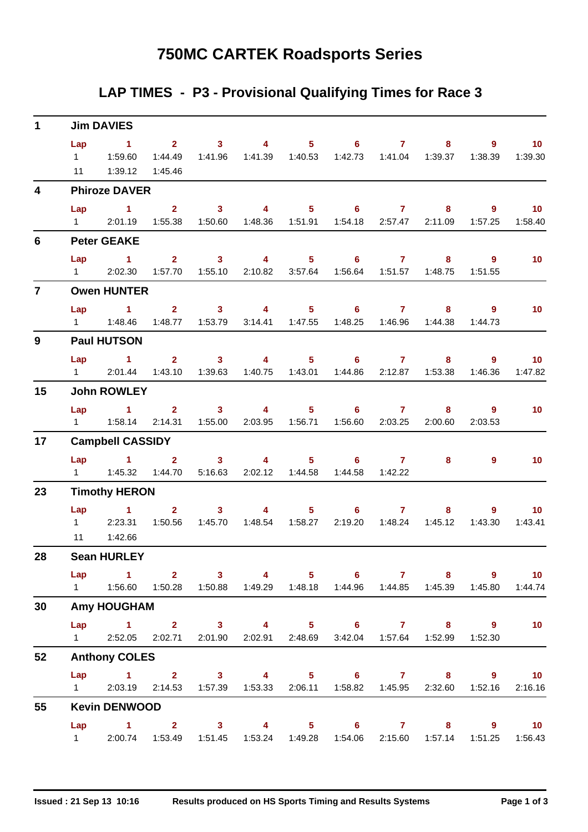### **LAP TIMES - P3 - Provisional Qualifying Times for Race 3**

| $\mathbf 1$             |                        | <b>Jim DAVIES</b>                                                                                             |         |                       |                                                                                 |  |                         |                            |
|-------------------------|------------------------|---------------------------------------------------------------------------------------------------------------|---------|-----------------------|---------------------------------------------------------------------------------|--|-------------------------|----------------------------|
|                         | Lap                    | 1 2 3 4 5 6 7 8 9 10<br>11  1:39.12  1:45.46                                                                  |         |                       | 1:44.49  1:41.96  1:41.39  1:40.53  1:42.73  1:41.04  1:39.37  1:38.39  1:39.30 |  |                         |                            |
| $\overline{\mathbf{4}}$ |                        | <b>Phiroze DAVER</b>                                                                                          |         |                       |                                                                                 |  |                         |                            |
|                         | Lap                    | $\sim$ 1<br>1 2:01.19  1:55.38  1:50.60  1:48.36  1:51.91  1:54.18  2:57.47  2:11.09  1:57.25  1:58.40        |         |                       | 2 3 4 5 6 7 8                                                                   |  |                         | $9 \t 10$                  |
| $6\phantom{1}$          |                        | <b>Peter GEAKE</b>                                                                                            |         |                       |                                                                                 |  |                         |                            |
|                         |                        | Lap 1 2 3 4 5 6 7 8 9<br>1 2:02.30 1:57.70 1:55.10 2:10.82 3:57.64 1:56.64 1:51.57 1:48.75                    |         |                       |                                                                                 |  | 1:51.55                 | 10                         |
| $\overline{7}$          |                        | <b>Owen HUNTER</b>                                                                                            |         |                       |                                                                                 |  |                         |                            |
|                         |                        | Lap 1<br>1   1:48.46   1:48.77   1:53.79   3:14.41   1:47.55   1:48.25   1:46.96   1:44.38   1:44.73          |         |                       | 2 3 4 5 6 7 8 9                                                                 |  |                         | $-10$                      |
| 9                       |                        | <b>Paul HUTSON</b>                                                                                            |         |                       |                                                                                 |  |                         |                            |
|                         |                        | Lap 1 2 3 4 5 6 7 8 9<br>1 2:01.44 1:43.10 1:39.63 1:40.75 1:43.01 1:44.86 2:12.87 1:53.38                    |         |                       |                                                                                 |  | 1:46.36                 | $\overline{10}$<br>1:47.82 |
| 15                      |                        | <b>John ROWLEY</b>                                                                                            |         |                       |                                                                                 |  |                         |                            |
|                         |                        | $Lap$ 1<br>1   1:58.14   2:14.31   1:55.00   2:03.95   1:56.71   1:56.60   2:03.25   2:00.60                  |         |                       | 2 3 4 5 6 7                                                                     |  | $8 - 1$<br>9<br>2:03.53 | $\overline{10}$            |
| 17                      |                        | <b>Campbell CASSIDY</b>                                                                                       |         |                       |                                                                                 |  |                         |                            |
|                         |                        | Lap 1 2 3 4 5 6 7 8<br>1   1:45.32   1:44.70   5:16.63   2:02.12   1:44.58   1:44.58   1:42.22                |         |                       |                                                                                 |  | $9^{\circ}$             | $\blacksquare$ 10          |
| 23                      |                        | <b>Timothy HERON</b>                                                                                          |         |                       |                                                                                 |  |                         |                            |
|                         |                        | Lap 1<br>1 2:23.31<br>11 1:42.66                                                                              | 1:50.56 | $2 \qquad 3 \qquad 4$ | $5 \t\t 6 \t\t 7$                                                               |  | $8 - 1$<br>1:43.30      | $9 \t 10$<br>1:43.41       |
| 28                      |                        | <b>Sean HURLEY</b>                                                                                            |         |                       |                                                                                 |  |                         |                            |
|                         |                        | Lap 1 2 3 4 5 6 7 8 9 10<br>1   1:56.60   1:50.28   1:50.88   1:49.29   1:48.18   1:44.96   1:44.85   1:45.39 |         |                       |                                                                                 |  | 1:45.80                 | 1:44.74                    |
| 30                      |                        | <b>Amy HOUGHAM</b>                                                                                            |         |                       |                                                                                 |  |                         |                            |
|                         | $1 \quad \blacksquare$ | Lap 1 2 3 4 5 6 7 8 9 10                                                                                      |         |                       | 2:52.05  2:02.71  2:01.90  2:02.91  2:48.69  3:42.04  1:57.64  1:52.99          |  | 1:52.30                 |                            |
| 52                      |                        | <b>Anthony COLES</b>                                                                                          |         |                       |                                                                                 |  |                         |                            |
|                         |                        | Lap 1 2 3 4 5 6 7 8 9 10<br>1 2:03.19 2:14.53 1:57.39 1:53.33 2:06.11 1:58.82 1:45.95 2:32.60                 |         |                       |                                                                                 |  | 1:52.16                 | 2:16.16                    |
| 55                      |                        | <b>Kevin DENWOOD</b>                                                                                          |         |                       |                                                                                 |  |                         |                            |
|                         | Lap                    | 1 2 3 4 5 6 7 8 9 10<br>1 2:00.74 1:53.49 1:51.45 1:53.24 1:49.28 1:54.06 2:15.60 1:57.14 1:51.25             |         |                       |                                                                                 |  |                         | 1:56.43                    |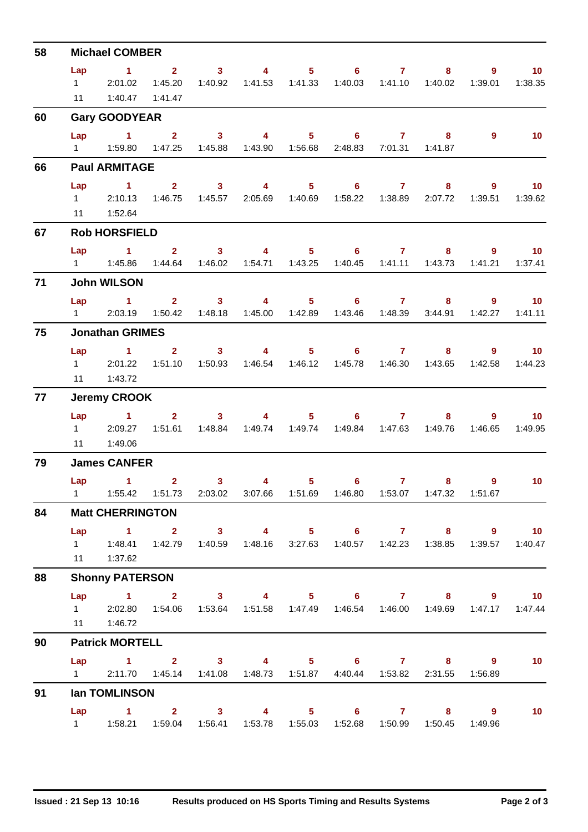| 58 |                             | <b>Michael COMBER</b>                                                                                                                             |                        |                                    |                                                                             |                                   |                            |                                   |                                |                           |                              |
|----|-----------------------------|---------------------------------------------------------------------------------------------------------------------------------------------------|------------------------|------------------------------------|-----------------------------------------------------------------------------|-----------------------------------|----------------------------|-----------------------------------|--------------------------------|---------------------------|------------------------------|
|    | Lap<br>$1 \quad \Box$<br>11 | $\sim$ 1.000 $\sim$ 1.000 $\sim$<br>2:01.02<br>1:40.47  1:41.47                                                                                   | $2^{\circ}$<br>1:45.20 | $\overline{\mathbf{3}}$<br>1:40.92 |                                                                             | $4\qquad\qquad 5$                 |                            | $6 \qquad \qquad 7$               | 8<br>1:40.03  1:41.10  1:40.02 | $9^{\circ}$<br>1:39.01    | 10 <sup>°</sup><br>1:38.35   |
| 60 |                             | <b>Gary GOODYEAR</b>                                                                                                                              |                        |                                    |                                                                             |                                   |                            |                                   |                                |                           |                              |
|    |                             | $Lap$ 1                                                                                                                                           | $2^{\circ}$            | $\overline{\mathbf{3}}$            | $\overline{4}$                                                              | $5 -$                             | $\overline{\phantom{a}}$ 6 | 7 8<br>2:48.83 7:01.31 1:41.87    |                                | $\overline{9}$            | 10 <sub>1</sub>              |
| 66 |                             | <b>Paul ARMITAGE</b>                                                                                                                              |                        |                                    |                                                                             |                                   |                            |                                   |                                |                           |                              |
|    | Lap                         | $\blacktriangleleft$<br>12:10.13<br>11  1:52.64                                                                                                   | 2 <sup>7</sup>         | 3 <sup>7</sup>                     | $\overline{4}$                                                              | 5 <sub>1</sub>                    |                            | $6 \qquad \qquad 7 \qquad \qquad$ | 8 <sub>1</sub><br>2:07.72      | $9^{\circ}$<br>1:39.51    | 10<br>1:39.62                |
| 67 |                             | <b>Rob HORSFIELD</b>                                                                                                                              |                        |                                    |                                                                             |                                   |                            |                                   |                                |                           |                              |
|    |                             | Lap 1                                                                                                                                             | 1:44.64                | $2 \t 3$<br>1:46.02                | $\sim$ 4 and $\sim$                                                         |                                   | $5 \t\t 6 \t\t 7$          |                                   | 1:40.45  1:41.11  1:43.73      | $8 - 1$<br>-9<br>1:41.21  | $\sim$ 10<br>1:37.41         |
| 71 |                             | <b>John WILSON</b>                                                                                                                                |                        |                                    |                                                                             |                                   |                            |                                   |                                |                           |                              |
|    | $1 \quad \Box$              | Lap 1<br>2:03.19                                                                                                                                  | $2^{\circ}$<br>1:50.42 | $\overline{\mathbf{3}}$<br>1:48.18 | $\sim$ 4<br>1:45.00  1:42.89                                                | 5 <sub>1</sub>                    | 1:43.46                    | 1:48.39                           | $6$ $7$ $8$<br>3:44.91         | $\overline{9}$<br>1:42.27 | $\blacksquare$ 10<br>1:41.11 |
| 75 |                             | <b>Jonathan GRIMES</b>                                                                                                                            |                        |                                    |                                                                             |                                   |                            |                                   |                                |                           |                              |
|    | Lap                         | $\mathbf{1}$<br>1 2:01.22 1:51.10 1:50.93<br>11  1:43.72                                                                                          | $\mathbf{2}$           | 3 <sup>7</sup>                     | $\sim$ 4 and $\sim$                                                         |                                   | $5^{\circ}$                | $6 \qquad \qquad 7 \qquad \qquad$ |                                | $8 - 1$<br>1:42.58        | $9 \t 10$<br>1:44.23         |
| 77 |                             | <b>Jeremy CROOK</b>                                                                                                                               |                        |                                    |                                                                             |                                   |                            |                                   |                                |                           |                              |
|    | $1 \quad \Box$<br>11        | $Lap$ 1<br>2:09.27<br>1:49.06                                                                                                                     | 1:51.61                | $2 \t 3$<br>1:48.84                |                                                                             | $\overline{4}$ and $\overline{4}$ | $5 \t\t 6$                 |                                   | $\mathbf{7}$                   | $8 - 1$<br>9<br>1:46.65   | $\sim$ 10<br>1:49.95         |
| 79 |                             | <b>James CANFER</b>                                                                                                                               |                        |                                    |                                                                             |                                   |                            |                                   |                                |                           |                              |
|    | $1 \quad$                   | Lap 1                                                                                                                                             | $\overline{2}$         | $\mathbf{3}$                       | 4<br>1:55.42  1:51.73  2:03.02  3:07.66  1:51.69  1:46.80  1:53.07  1:47.32 | 5                                 | $6^{\circ}$                | $7 -$                             | 8                              | $\overline{9}$<br>1:51.67 | 10                           |
| 84 |                             | <b>Matt CHERRINGTON</b>                                                                                                                           |                        |                                    |                                                                             |                                   |                            |                                   |                                |                           |                              |
|    |                             | Lap 1 2 3 4 5 6 7 8 9 10<br>1   1:48.41   1:42.79   1:40.59   1:48.16   3:27.63   1:40.57   1:42.23   1:38.85   1:39.57   1:40.47<br>11   1:37.62 |                        |                                    |                                                                             |                                   |                            |                                   |                                |                           |                              |
| 88 |                             | <b>Shonny PATERSON</b>                                                                                                                            |                        |                                    |                                                                             |                                   |                            |                                   |                                |                           |                              |
|    |                             | Lap 1 2 3 4 5 6 7 8 9 10<br>1 2:02.80 1:54.06 1:53.64 1:51.58 1:47.49 1:46.54 1:46.00 1:49.69 1:47.17 1:47.44<br>11   1:46.72                     |                        |                                    |                                                                             |                                   |                            |                                   |                                |                           |                              |
| 90 |                             | <b>Patrick MORTELL</b>                                                                                                                            |                        |                                    |                                                                             |                                   |                            |                                   |                                |                           |                              |
|    | $1 \quad \Box$              | Lap 1 2 3 4 5 6 7 8 9                                                                                                                             |                        |                                    | 2:11.70  1:45.14  1:41.08  1:48.73  1:51.87  4:40.44  1:53.82  2:31.55      |                                   |                            |                                   |                                | 1:56.89                   | 10 <sub>1</sub>              |
| 91 |                             | <b>Ian TOMLINSON</b>                                                                                                                              |                        |                                    |                                                                             |                                   |                            |                                   |                                |                           |                              |
|    |                             | Lap 1 2 3 4 5 6 7<br>1   1:58.21   1:59.04   1:56.41   1:53.78   1:55.03   1:52.68   1:50.99   1:50.45                                            |                        |                                    |                                                                             |                                   |                            |                                   |                                | $8$ 9<br>1:49.96          | 10 <sup>°</sup>              |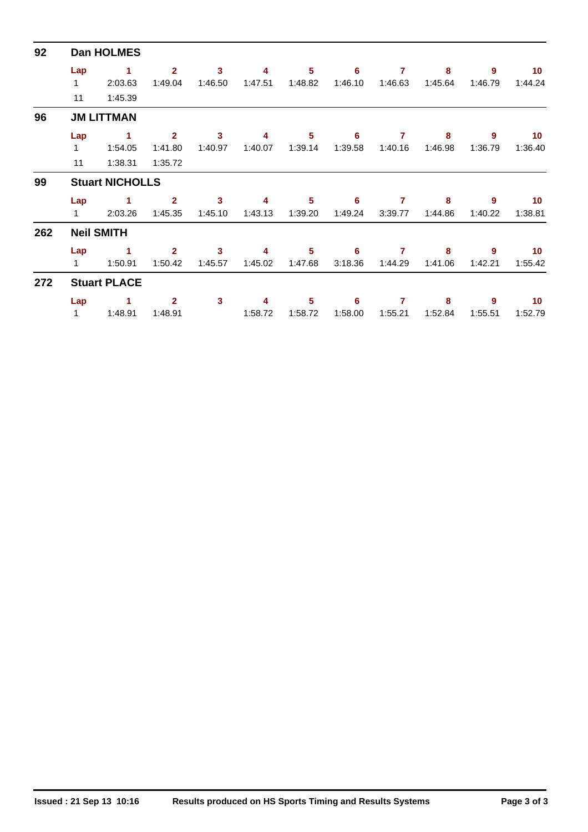| 92  |              | <b>Dan HOLMES</b>      |                |         |         |                |         |                |         |         |                 |
|-----|--------------|------------------------|----------------|---------|---------|----------------|---------|----------------|---------|---------|-----------------|
|     | Lap          | 1                      | $\overline{2}$ | 3       | 4       | 5              | 6       | 7              | 8       | 9       | 10 <sup>°</sup> |
|     | $\mathbf{1}$ | 2:03.63                | 1:49.04        | 1:46.50 | 1:47.51 | 1:48.82        | 1:46.10 | 1:46.63        | 1:45.64 | 1:46.79 | 1:44.24         |
|     | 11           | 1:45.39                |                |         |         |                |         |                |         |         |                 |
| 96  |              | <b>JM LITTMAN</b>      |                |         |         |                |         |                |         |         |                 |
|     | Lap          | 1                      | $\mathbf{2}$   | 3       | 4       | 5              | 6       | 7              | 8       | 9       | 10 <sup>°</sup> |
|     | $\mathbf{1}$ | 1:54.05                | 1:41.80        | 1:40.97 | 1:40.07 | 1:39.14        | 1:39.58 | 1:40.16        | 1:46.98 | 1:36.79 | 1:36.40         |
|     | 11           | 1:38.31                | 1:35.72        |         |         |                |         |                |         |         |                 |
| 99  |              | <b>Stuart NICHOLLS</b> |                |         |         |                |         |                |         |         |                 |
|     | Lap          | 1                      | $\mathbf{2}$   | 3       | 4       | 5              | 6       | 7              | 8       | 9       | 10 <sup>°</sup> |
|     | $\mathbf{1}$ | 2:03.26                | 1:45.35        | 1:45.10 | 1:43.13 | 1:39.20        | 1:49.24 | 3:39.77        | 1:44.86 | 1:40.22 | 1:38.81         |
| 262 |              | <b>Neil SMITH</b>      |                |         |         |                |         |                |         |         |                 |
|     | Lap          | 1                      | $\overline{2}$ | 3       | 4       | $5\phantom{1}$ | 6       | 7              | 8       | 9       | 10 <sup>°</sup> |
|     | 1            | 1:50.91                | 1:50.42        | 1:45.57 | 1:45.02 | 1:47.68        | 3:18.36 | 1:44.29        | 1:41.06 | 1:42.21 | 1:55.42         |
| 272 |              | <b>Stuart PLACE</b>    |                |         |         |                |         |                |         |         |                 |
|     | Lap          | 1                      | $\overline{2}$ | 3       | 4       | 5              | 6       | $\overline{7}$ | 8       | 9       | 10 <sup>°</sup> |
|     | 1            | 1:48.91                | 1:48.91        |         | 1:58.72 | 1:58.72        | 1:58.00 | 1:55.21        | 1:52.84 | 1:55.51 | 1:52.79         |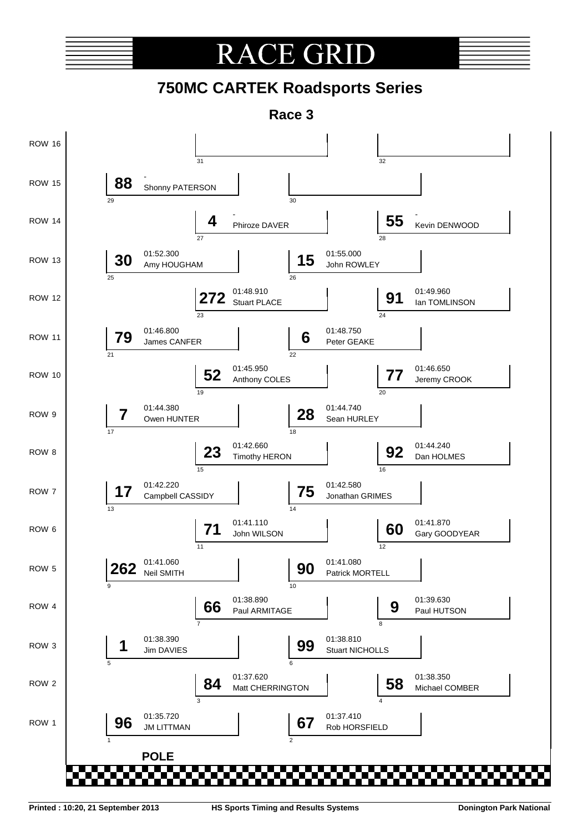#### RA CE GRI

### **750MC CARTEK Roadsports Series**

**Race 3**

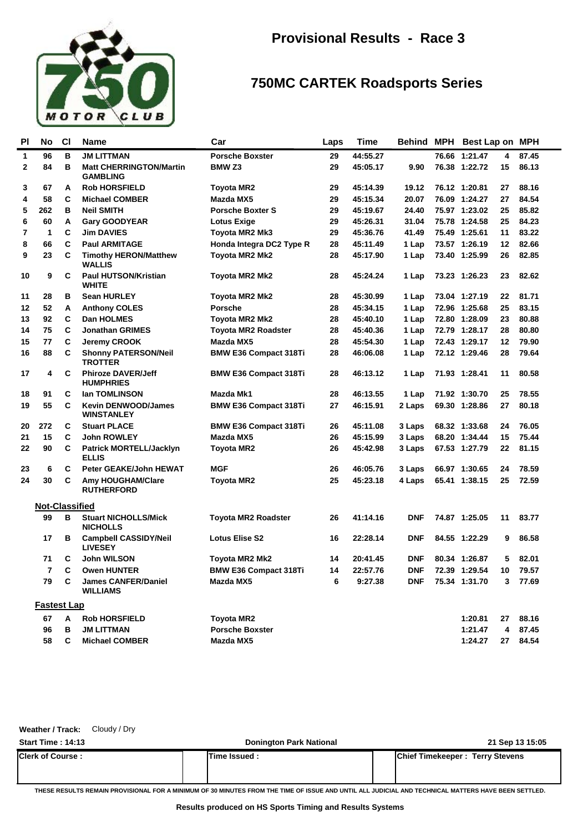

| PI             | No                    | <b>CI</b> | <b>Name</b>                                       | Car                          | Laps | Time     |            | Behind MPH Best Lap on MPH |    |       |
|----------------|-----------------------|-----------|---------------------------------------------------|------------------------------|------|----------|------------|----------------------------|----|-------|
| $\mathbf{1}$   | 96                    | в         | <b>JM LITTMAN</b>                                 | <b>Porsche Boxster</b>       | 29   | 44:55.27 |            | 76.66 1:21.47              | 4  | 87.45 |
| $\overline{2}$ | 84                    | B         | <b>Matt CHERRINGTON/Martin</b><br><b>GAMBLING</b> | BMW <sub>Z3</sub>            | 29   | 45:05.17 | 9.90       | 76.38 1:22.72              | 15 | 86.13 |
| 3              | 67                    | A         | <b>Rob HORSFIELD</b>                              | <b>Toyota MR2</b>            | 29   | 45:14.39 | 19.12      | 76.12 1:20.81              | 27 | 88.16 |
| 4              | 58                    | C         | <b>Michael COMBER</b>                             | Mazda MX5                    | 29   | 45:15.34 | 20.07      | 76.09 1:24.27              | 27 | 84.54 |
| 5              | 262                   | в         | <b>Neil SMITH</b>                                 | <b>Porsche Boxter S</b>      | 29   | 45:19.67 | 24.40      | 75.97 1:23.02              | 25 | 85.82 |
| 6              | 60                    | A         | <b>Gary GOODYEAR</b>                              | <b>Lotus Exige</b>           | 29   | 45:26.31 | 31.04      | 75.78 1:24.58              | 25 | 84.23 |
| 7              | $\mathbf{1}$          | C         | <b>Jim DAVIES</b>                                 | Toyota MR2 Mk3               | 29   | 45:36.76 | 41.49      | 75.49 1:25.61              | 11 | 83.22 |
| 8              | 66                    | C         | <b>Paul ARMITAGE</b>                              | Honda Integra DC2 Type R     | 28   | 45:11.49 | 1 Lap      | 73.57 1:26.19              | 12 | 82.66 |
| 9              | 23                    | C         | <b>Timothy HERON/Matthew</b><br><b>WALLIS</b>     | <b>Toyota MR2 Mk2</b>        | 28   | 45:17.90 | 1 Lap      | 73.40 1:25.99              | 26 | 82.85 |
| 10             | 9                     | C         | <b>Paul HUTSON/Kristian</b><br><b>WHITE</b>       | Toyota MR2 Mk2               | 28   | 45:24.24 | 1 Lap      | 73.23 1:26.23              | 23 | 82.62 |
| 11             | 28                    | в         | <b>Sean HURLEY</b>                                | Toyota MR2 Mk2               | 28   | 45:30.99 | 1 Lap      | 73.04 1:27.19              | 22 | 81.71 |
| 12             | 52                    | A         | <b>Anthony COLES</b>                              | <b>Porsche</b>               | 28   | 45:34.15 | 1 Lap      | 72.96 1:25.68              | 25 | 83.15 |
| 13             | 92                    | C         | Dan HOLMES                                        | Toyota MR2 Mk2               | 28   | 45:40.10 | 1 Lap      | 72.80 1:28.09              | 23 | 80.88 |
| 14             | 75                    | C         | <b>Jonathan GRIMES</b>                            | <b>Toyota MR2 Roadster</b>   | 28   | 45:40.36 | 1 Lap      | 72.79 1:28.17              | 28 | 80.80 |
| 15             | 77                    | C         | Jeremy CROOK                                      | Mazda MX5                    | 28   | 45:54.30 | 1 Lap      | 72.43 1:29.17              | 12 | 79.90 |
| 16             | 88                    | C         | <b>Shonny PATERSON/Neil</b><br><b>TROTTER</b>     | <b>BMW E36 Compact 318Ti</b> | 28   | 46:06.08 | 1 Lap      | 72.12 1:29.46              | 28 | 79.64 |
| 17             | 4                     | C         | <b>Phiroze DAVER/Jeff</b><br><b>HUMPHRIES</b>     | <b>BMW E36 Compact 318Ti</b> | 28   | 46:13.12 | 1 Lap      | 71.93 1:28.41              | 11 | 80.58 |
| 18             | 91                    | C         | <b>Ian TOMLINSON</b>                              | Mazda Mk1                    | 28   | 46:13.55 | 1 Lap      | 71.92 1:30.70              | 25 | 78.55 |
| 19             | 55                    | C         | <b>Kevin DENWOOD/James</b><br><b>WINSTANLEY</b>   | <b>BMW E36 Compact 318Ti</b> | 27   | 46:15.91 | 2 Laps     | 69.30 1:28.86              | 27 | 80.18 |
| 20             | 272                   | C         | <b>Stuart PLACE</b>                               | <b>BMW E36 Compact 318Ti</b> | 26   | 45:11.08 | 3 Laps     | 68.32 1:33.68              | 24 | 76.05 |
| 21             | 15                    | C         | <b>John ROWLEY</b>                                | Mazda MX5                    | 26   | 45:15.99 | 3 Laps     | 68.20 1:34.44              | 15 | 75.44 |
| 22             | 90                    | C         | <b>Patrick MORTELL/Jacklyn</b><br><b>ELLIS</b>    | <b>Toyota MR2</b>            | 26   | 45:42.98 | 3 Laps     | 67.53 1:27.79              | 22 | 81.15 |
| 23             | 6                     | C         | Peter GEAKE/John HEWAT                            | <b>MGF</b>                   | 26   | 46:05.76 | 3 Laps     | 66.97 1:30.65              | 24 | 78.59 |
| 24             | 30                    | C         | Amy HOUGHAM/Clare<br><b>RUTHERFORD</b>            | Toyota MR2                   | 25   | 45:23.18 | 4 Laps     | 65.41 1:38.15              | 25 | 72.59 |
|                | <b>Not-Classified</b> |           |                                                   |                              |      |          |            |                            |    |       |
|                | 99                    | в         | <b>Stuart NICHOLLS/Mick</b><br><b>NICHOLLS</b>    | <b>Toyota MR2 Roadster</b>   | 26   | 41:14.16 | <b>DNF</b> | 74.87 1:25.05              | 11 | 83.77 |
|                | 17                    | в         | <b>Campbell CASSIDY/Neil</b><br><b>LIVESEY</b>    | <b>Lotus Elise S2</b>        | 16   | 22:28.14 | <b>DNF</b> | 84.55 1:22.29              | 9  | 86.58 |
|                | 71                    | C         | <b>John WILSON</b>                                | <b>Toyota MR2 Mk2</b>        | 14   | 20:41.45 | <b>DNF</b> | 80.34 1:26.87              | 5  | 82.01 |
|                | $\overline{7}$        | C         | <b>Owen HUNTER</b>                                | <b>BMW E36 Compact 318Ti</b> | 14   | 22:57.76 | <b>DNF</b> | 72.39 1:29.54              | 10 | 79.57 |
|                | 79                    | C         | <b>James CANFER/Daniel</b><br><b>WILLIAMS</b>     | Mazda MX5                    | 6    | 9:27.38  | <b>DNF</b> | 75.34 1:31.70              | 3  | 77.69 |
|                | <b>Fastest Lap</b>    |           |                                                   |                              |      |          |            |                            |    |       |
|                | 67                    | A         | <b>Rob HORSFIELD</b>                              | <b>Toyota MR2</b>            |      |          |            | 1:20.81                    | 27 | 88.16 |
|                | 96                    | B         | <b>JM LITTMAN</b>                                 | <b>Porsche Boxster</b>       |      |          |            | 1:21.47                    | 4  | 87.45 |
|                | 58                    | C         | <b>Michael COMBER</b>                             | Mazda MX5                    |      |          |            | 1:24.27                    | 27 | 84.54 |

**Weather / Track:** Cloudy / Dry

| <b>Start Time: 14:13</b> | <b>Donington Park National</b> | 21 Sep 13 15:05                        |
|--------------------------|--------------------------------|----------------------------------------|
| <b>Clerk of Course :</b> | <b>Time Issued:</b>            | <b>Chief Timekeeper: Terry Stevens</b> |

**THESE RESULTS REMAIN PROVISIONAL FOR A MINIMUM OF 30 MINUTES FROM THE TIME OF ISSUE AND UNTIL ALL JUDICIAL AND TECHNICAL MATTERS HAVE BEEN SETTLED.**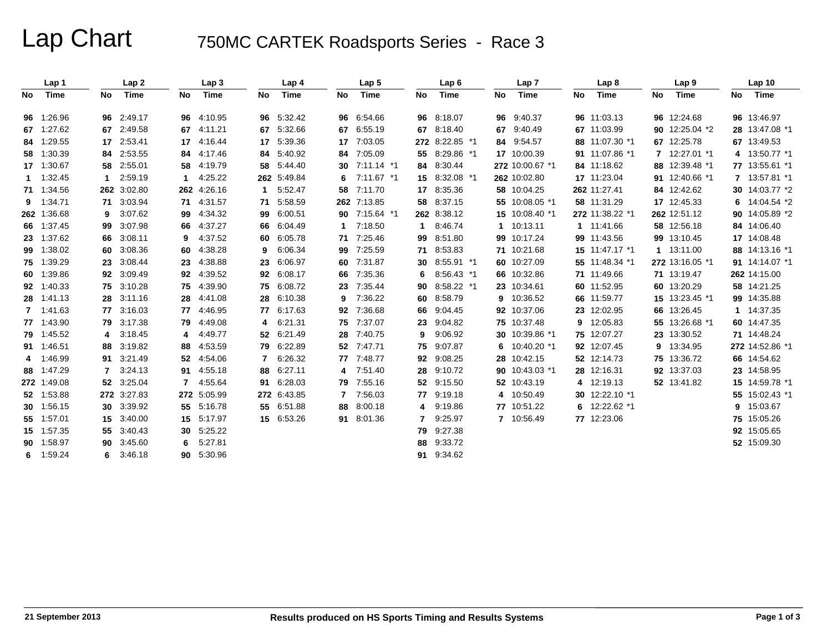# Lap Chart 750MC CARTEK Roadsports Series - Race 3

|    | Lap 1       |              | Lap <sub>2</sub> |                 | Lap <sub>3</sub> |    | Lap <sub>4</sub> |    | Lap <sub>5</sub> |    | Lap6           |    | Lap <sub>7</sub> |    | Lap 8           |    | Lap <sub>9</sub> |    | Lap <sub>10</sub> |
|----|-------------|--------------|------------------|-----------------|------------------|----|------------------|----|------------------|----|----------------|----|------------------|----|-----------------|----|------------------|----|-------------------|
| No | <b>Time</b> | No           | Time             | No              | <b>Time</b>      | No | <b>Time</b>      | No | Time             | No | Time           | No | Time             | No | Time            | No | Time             | No | Time              |
|    | 96 1:26.96  |              | 96 2:49.17       | 96.             | 4:10.95          | 96 | 5:32.42          |    | 96 6:54.66       | 96 | 8:18.07        |    | 96 9:40.37       |    | 96 11:03.13     |    | 96 12:24.68      |    | 96 13:46.97       |
|    | 67 1:27.62  |              | 67 2:49.58       | 67              | 4:11.21          | 67 | 5:32.66          |    | 67 6:55.19       |    | 67 8:18.40     |    | 67 9:40.49       |    | 67 11:03.99     |    | 90 12:25.04 *2   |    | 28 13:47.08 *1    |
|    | 84 1:29.55  |              | 17 2:53.41       | 17 <sup>2</sup> | 4:16.44          | 17 | 5:39.36          |    | 17 7:03.05       |    | 272 8:22.85 *1 |    | 84 9:54.57       |    | 88 11:07.30 *1  |    | 67 12:25.78      |    | 67 13:49.53       |
|    | 58 1:30.39  |              | 84 2:53.55       | 84              | 4:17.46          | 84 | 5:40.92          | 84 | 7:05.09          | 55 | 8:29.86 *1     |    | 17 10:00.39      |    | 91 11:07.86 *1  |    | 7 12:27.01 *1    |    | 4 13:50.77 *1     |
|    | 17 1:30.67  |              | 58 2:55.01       | 58              | 4:19.79          | 58 | 5:44.40          |    | 30 7:11.14 *1    |    | 84 8:30.44     |    | 272 10:00.67 *1  |    | 84 11:18.62     |    | 88 12:39.48 *1   |    | 77 13:55.61 *1    |
|    | 1.32.45     | 1            | 2:59.19          |                 | 4:25.22          |    | 262 5:49.84      | 6. | 7:11.67 *1       |    | 15 8:32.08 *1  |    | 262 10:02.80     |    | 17 11:23.04     |    | 91 12:40.66 *1   |    | 7 13:57.81 *1     |
|    | 71 1:34.56  |              | 262 3:02.80      |                 | 262 4:26.16      | 1  | 5:52.47          |    | 58 7:11.70       | 17 | 8:35.36        |    | 58 10:04.25      |    | 262 11:27.41    |    | 84 12:42.62      |    | 30 14:03.77 *2    |
|    | 9 1:34.71   |              | 71 3:03.94       |                 | 71 4:31.57       | 71 | 5:58.59          |    | 262 7:13.85      | 58 | 8:37.15        |    | 55 10:08.05 *1   |    | 58 11:31.29     |    | 17 12:45.33      |    | 6 14:04.54 *2     |
|    | 262 1:36.68 | 9            | 3:07.62          | 99              | 4:34.32          | 99 | 6:00.51          |    | 90 7:15.64 *1    |    | 262 8:38.12    |    | 15 10:08.40 *1   |    | 272 11:38.22 *1 |    | 262 12:51.12     |    | 90 14:05.89 *2    |
|    | 66 1:37.45  |              | 99 3:07.98       | 66              | 4:37.27          | 66 | 6:04.49          | 1  | 7:18.50          |    | 1 8:46.74      |    | 1 10:13.11       |    | 1 11:41.66      |    | 58 12:56.18      |    | 84 14:06.40       |
|    | 23 1:37.62  |              | 66 3:08.11       | 9               | 4:37.52          | 60 | 6:05.78          |    | 71 7:25.46       | 99 | 8:51.80        |    | 99 10:17.24      |    | 99 11:43.56     |    | 99 13:10.45      |    | 17 14:08.48       |
|    | 99 1:38.02  |              | 60 3:08.36       | 60              | 4:38.28          | 9  | 6:06.34          | 99 | 7:25.59          | 71 | 8:53.83        |    | 71 10:21.68      |    | 15 11:47.17 *1  |    | 1 13:11.00       |    | 88 14:13.16 *1    |
|    | 75 1:39.29  |              | 23 3:08.44       | 23              | 4:38.88          | 23 | 6:06.97          |    | 60 7:31.87       | 30 | 8:55.91 *1     |    | 60 10:27.09      |    | 55 11:48.34 *1  |    | 272 13:16.05 *1  |    | 91 14:14.07 *1    |
|    | 60 1:39.86  |              | 92 3:09.49       | 92              | 4:39.52          | 92 | 6:08.17          |    | 66 7:35.36       | 6  | 8:56.43 *1     |    | 66 10:32.86      |    | 71 11:49.66     |    | 71 13:19.47      |    | 262 14:15.00      |
|    | 92 1:40.33  |              | 75 3:10.28       | 75              | 4.39.90          | 75 | 6:08.72          |    | 23 7:35.44       | 90 | 8:58.22 *1     |    | 23 10:34.61      |    | 60 11:52.95     |    | 60 13:20.29      |    | 58 14:21.25       |
|    | 28 1:41.13  |              | 28 3:11.16       | 28              | 4:41.08          | 28 | 6:10.38          | 9. | 7:36.22          | 60 | 8:58.79        |    | 9 10:36.52       |    | 66 11:59.77     |    | 15 13:23.45 *1   |    | 99 14:35.88       |
|    | 7 1:41.63   |              | 77 3:16.03       |                 | 77 4:46.95       | 77 | 6:17.63          |    | 92 7:36.68       | 66 | 9:04.45        |    | 92 10:37.06      |    | 23 12:02.95     |    | 66 13:26.45      |    | 1 14:37.35        |
|    | 77 1:43.90  |              | 79 3:17.38       | 79              | 4:49.08          | 4  | 6:21.31          |    | 75 7:37.07       | 23 | 9:04.82        |    | 75 10:37.48      |    | 9 12:05.83      |    | 55 13:26.68 *1   |    | 60 14:47.35       |
|    | 79 1:45.52  | 4            | 3:18.45          | 4               | 4:49.77          | 52 | 6:21.49          |    | 28 7:40.75       | 9  | 9:06.92        |    | 30 10:39.86 *1   |    | 75 12:07.27     |    | 23 13:30.52      |    | 71 14:48.24       |
|    | 91 1:46.51  |              | 88 3:19.82       | 88              | 4:53.59          | 79 | 6:22.89          |    | 52 7:47.71       | 75 | 9:07.87        |    | 6 10:40.20 *1    |    | 92 12:07.45     | 9  | 13:34.95         |    | 272 14:52.86 *1   |
|    | 4 1:46.99   |              | 91 3:21.49       | 52              | 4:54.06          | 7  | 6:26.32          |    | 77 7:48.77       |    | 92 9:08.25     |    | 28 10:42.15      |    | 52 12:14.73     |    | 75 13:36.72      |    | 66 14:54.62       |
|    | 88 1:47.29  | $\mathbf{7}$ | 3:24.13          | 91.             | 4:55.18          | 88 | 6.27.11          |    | 4 7:51.40        | 28 | 9:10.72        |    | 90 10:43.03 *1   |    | 28 12:16.31     |    | 92 13:37.03      |    | 23 14:58.95       |
|    | 272 1:49.08 |              | 52 3:25.04       | 7               | 4:55.64          | 91 | 6:28.03          |    | 79 7:55.16       |    | 52 9:15.50     |    | 52 10:43.19      |    | 4 12:19.13      |    | 52 13:41.82      |    | 15 14:59.78 *1    |
|    | 52 1:53.88  |              | 272 3:27.83      |                 | 272 5:05.99      |    | 272 6:43.85      | 7  | 7:56.03          |    | 77 9:19.18     |    | 4 10:50.49       |    | 30 12:22.10 *1  |    |                  | 55 | 15:02.43 *1       |
|    | 30 1:56.15  |              | 30 3:39.92       | 55              | 5:16.78          | 55 | 6:51.88          | 88 | 8:00.18          | 4  | 9.19.86        |    | 77 10:51.22      | 6  | 12:22.62 *1     |    |                  | 9  | 15:03.67          |
|    | 55 1:57.01  |              | 15 3:40.00       | 15              | 5:17.97          |    | 15 6:53.26       |    | 91 8:01.36       | 7  | 9:25.97        |    | 7 10:56.49       |    | 77 12:23.06     |    |                  |    | 75 15:05.26       |
|    | 15 1:57.35  |              | 55 3:40.43       | 30              | 5:25.22          |    |                  |    |                  | 79 | 9:27.38        |    |                  |    |                 |    |                  |    | 92 15:05.65       |
|    | 90 1:58.97  |              | 90 3:45.60       | 6               | 5:27.81          |    |                  |    |                  | 88 | 9:33.72        |    |                  |    |                 |    |                  |    | 52 15:09.30       |
|    | $6$ 1:59.24 |              | 6 3:46.18        | 90              | 5:30.96          |    |                  |    |                  |    | 91 9:34.62     |    |                  |    |                 |    |                  |    |                   |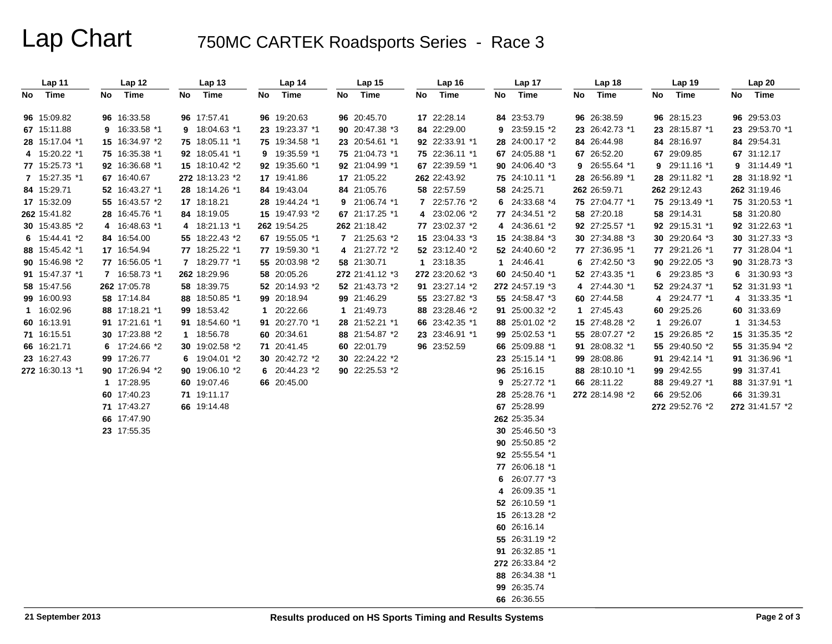# Lap Chart 750MC CARTEK Roadsports Series - Race 3

|    | Lap 11          |    | Lap 12         |    | Lap <sub>13</sub> |              | Lap 14         |    | Lap <sub>15</sub> |    | Lap 16          |    | Lap 17          |    | Lap 18          |              | Lap 19            |    | Lap20           |
|----|-----------------|----|----------------|----|-------------------|--------------|----------------|----|-------------------|----|-----------------|----|-----------------|----|-----------------|--------------|-------------------|----|-----------------|
| No | Time            | No | Time           | No | Time              | No           | Time           | No | Time              | No | Time            | No | Time            | No | Time            | No           | Time              | No | Time            |
|    |                 |    |                |    |                   |              |                |    |                   |    |                 |    |                 |    |                 |              |                   |    |                 |
|    | 96 15:09.82     |    | 96 16:33.58    |    | 96 17:57.41       |              | 96 19:20.63    |    | 96 20:45.70       |    | 17 22:28.14     |    | 84 23:53.79     |    | 96 26:38.59     |              | 96 28:15.23       |    | 96 29:53.03     |
|    | 67 15:11.88     |    | 9 16:33.58 *1  |    | 9 18:04.63 *1     |              | 23 19:23.37 *1 |    | 90 20:47.38 *3    |    | 84 22:29.00     |    | 9 23:59.15 *2   |    | 23 26:42.73 *1  |              | 23 28:15.87 *1    |    | 23 29:53.70 *1  |
|    | 28 15:17.04 *1  |    | 15 16:34.97 *2 |    | 75 18:05.11 *1    |              | 75 19:34.58 *1 |    | 23 20:54.61 *1    |    | 92 22:33.91 *1  |    | 28 24:00.17 *2  |    | 84 26:44.98     |              | 84 28:16.97       |    | 84 29:54.31     |
|    | 4 15:20.22 *1   |    | 75 16:35.38 *1 |    | 92 18:05.41 *1    |              | 9 19:35.59 *1  |    | 75 21:04.73 *1    |    | 75 22:36.11 *1  |    | 67 24:05.88 *1  |    | 67 26:52.20     |              | 67 29:09.85       |    | 67 31:12.17     |
|    | 77 15:25.73 *1  |    | 92 16:36.68 *1 |    | 15 18:10.42 *2    |              | 92 19:35.60 *1 |    | 92 21:04.99 *1    |    | 67 22:39.59 *1  |    | 90 24:06.40 *3  |    | 9 26:55.64 *1   |              | $9$ 29:11.16 $*1$ |    | 9 31:14.49 *1   |
|    | 7 15:27.35 *1   |    | 67 16:40.67    |    | 272 18:13.23 *2   |              | 17 19:41.86    |    | 17 21:05.22       |    | 262 22:43.92    |    | 75 24:10.11 *1  |    | 28 26:56.89 *1  |              | 28 29:11.82 *1    |    | 28 31:18.92 *1  |
|    | 84 15:29.71     |    | 52 16:43.27 *1 |    | 28 18:14.26 *1    |              | 84 19:43.04    |    | 84 21:05.76       |    | 58 22:57.59     |    | 58 24:25.71     |    | 262 26:59.71    |              | 262 29:12.43      |    | 262 31:19.46    |
|    | 17 15:32.09     |    | 55 16:43.57 *2 |    | 17 18:18.21       |              | 28 19:44.24 *1 |    | 9 21:06.74 *1     |    | 7 22:57.76 *2   |    | 6 $24:33.68*4$  |    | 75 27:04.77 *1  |              | 75 29:13.49 *1    |    | 75 31:20.53 *1  |
|    | 262 15:41.82    |    | 28 16:45.76 *1 |    | 84 18:19.05       |              | 15 19:47.93 *2 |    | 67 21:17.25 *1    |    | 4 23:02.06 *2   |    | 77 24:34.51 *2  |    | 58 27:20.18     |              | 58 29:14.31       |    | 58 31:20.80     |
|    | 30 15:43.85 *2  |    | 4 16:48.63 *1  |    | 4 18:21.13 *1     |              | 262 19:54.25   |    | 262 21:18.42      |    | 77 23:02.37 *2  |    | 4 24:36.61 *2   |    | 92 27:25.57 *1  |              | 92 29:15.31 *1    |    | 92 31:22.63 *1  |
|    | 6 15:44.41 *2   |    | 84 16:54.00    |    | 55 18:22.43 *2    |              | 67 19:55.05 *1 |    | 7 21:25.63 *2     |    | 15 23:04.33 *3  |    | 15 24:38.84 *3  |    | 30 27:34.88 *3  |              | 30 29:20.64 *3    |    | 30 31:27.33 *3  |
|    | 88 15:45.42 *1  |    | 17 16:54.94    |    | 77 18:25.22 *1    |              | 77 19:59.30 *1 |    | 4 21:27.72 *2     |    | 52 23:12.40 *2  |    | 52 24:40.60 *2  |    | 77 27:36.95 *1  |              | 77 29:21.26 *1    |    | 77 31:28.04 *1  |
|    | 90 15:46.98 *2  |    | 77 16:56.05 *1 |    | 7 18:29.77 *1     |              | 55 20:03.98 *2 |    | 58 21:30.71       |    | 1 23:18.35      |    | 1 24:46.41      |    | 6 $27:42.50*3$  |              | 90 29:22.05 *3    |    | 90 31:28.73 *3  |
|    | 91 15:47.37 *1  |    | 7 16:58.73 *1  |    | 262 18:29.96      |              | 58 20:05.26    |    | 272 21:41.12 *3   |    | 272 23:20.62 *3 |    | 60 24:50.40 *1  |    | 52 27:43.35 *1  | 6.           | 29:23.85 *3       |    | 6 31:30.93 *3   |
|    | 58 15:47.56     |    | 262 17:05.78   |    | 58 18:39.75       |              | 52 20:14.93 *2 |    | 52 21:43.73 *2    |    | 91 23:27.14 *2  |    | 272 24:57.19 *3 |    | 4 27:44.30 *1   |              | 52 29:24.37 *1    |    | 52 31:31.93 *1  |
|    | 99 16:00.93     |    | 58 17:14.84    |    | 88 18:50.85 *1    |              | 99 20:18.94    |    | 99 21:46.29       |    | 55 23:27.82 *3  |    | 55 24:58.47 *3  |    | 60 27:44.58     | 4            | 29:24.77 *1       |    | 4 31:33.35 *1   |
|    | 1 16:02.96      |    | 88 17:18.21 *1 |    | 99 18:53.42       | $\mathbf{1}$ | 20:22.66       |    | 1 21:49.73        |    | 88 23:28.46 *2  |    | 91 25:00.32 *2  |    | 1 27:45.43      | 60           | 29:25.26          |    | 60 31:33.69     |
|    | 60 16:13.91     |    | 91 17:21.61 *1 |    | 91 18:54.60 *1    |              | 91 20:27.70 *1 |    | 28 21:52.21 *1    |    | 66 23:42.35 *1  |    | 88 25:01.02 *2  |    | 15 27:48.28 *2  | $\mathbf{1}$ | 29:26.07          |    | 1 31:34.53      |
|    | 71 16:15.51     |    | 30 17:23.88 *2 |    | 1 18:56.78        |              | 60 20:34.61    |    | 88 21:54.87 *2    |    | 23 23:46.91 *1  |    | 99 25:02.53 *1  |    | 55 28:07.27 *2  |              | 15 29:26.85 *2    |    | 15 31:35.35 *2  |
|    | 66 16:21.71     |    | 6 17:24.66 *2  |    | 30 19:02.58 *2    |              | 71 20:41.45    |    | 60 22:01.79       |    | 96 23:52.59     |    | 66 25:09.88 *1  |    | 91 28:08.32 *1  |              | 55 29:40.50 *2    |    | 55 31:35.94 *2  |
|    | 23 16:27.43     |    | 99 17:26.77    |    | 6 19:04.01 *2     |              | 30 20:42.72 *2 |    | 30 22:24.22 *2    |    |                 |    | 23 25:15.14 *1  |    | 99 28:08.86     |              | 91 29:42.14 *1    |    | 91 31:36.96 *1  |
|    | 272 16:30.13 *1 |    | 90 17:26.94 *2 |    | 90 19:06.10 *2    |              | 6 $20:44.23*2$ |    | 90 22:25.53 *2    |    |                 |    | 96 25:16.15     |    | 88 28:10.10 *1  |              | 99 29:42.55       |    | 99 31:37.41     |
|    |                 |    | 1 17:28.95     |    | 60 19:07.46       |              | 66 20:45.00    |    |                   |    |                 |    | 9 25:27.72 *1   |    | 66 28:11.22     |              | 88 29:49.27 *1    |    | 88 31:37.91 *1  |
|    |                 |    | 60 17:40.23    |    | 71 19:11.17       |              |                |    |                   |    |                 |    | 28 25:28.76 *1  |    | 272 28:14.98 *2 |              | 66 29:52.06       |    | 66 31:39.31     |
|    |                 |    | 71 17:43.27    |    | 66 19:14.48       |              |                |    |                   |    |                 |    | 67 25:28.99     |    |                 |              | 272 29:52.76 *2   |    | 272 31:41.57 *2 |
|    |                 |    | 66 17:47.90    |    |                   |              |                |    |                   |    |                 |    | 262 25:35.34    |    |                 |              |                   |    |                 |
|    |                 |    | 23 17:55.35    |    |                   |              |                |    |                   |    |                 |    | 30 25:46.50 *3  |    |                 |              |                   |    |                 |
|    |                 |    |                |    |                   |              |                |    |                   |    |                 |    | 90 25:50.85 *2  |    |                 |              |                   |    |                 |
|    |                 |    |                |    |                   |              |                |    |                   |    |                 |    | 92 25:55.54 *1  |    |                 |              |                   |    |                 |
|    |                 |    |                |    |                   |              |                |    |                   |    |                 |    | 77 26:06.18 *1  |    |                 |              |                   |    |                 |
|    |                 |    |                |    |                   |              |                |    |                   |    |                 |    | 6 26:07.77 *3   |    |                 |              |                   |    |                 |
|    |                 |    |                |    |                   |              |                |    |                   |    |                 |    | 4 26:09.35 *1   |    |                 |              |                   |    |                 |
|    |                 |    |                |    |                   |              |                |    |                   |    |                 |    | 52 26:10.59 *1  |    |                 |              |                   |    |                 |
|    |                 |    |                |    |                   |              |                |    |                   |    |                 |    | 15 26:13.28 *2  |    |                 |              |                   |    |                 |
|    |                 |    |                |    |                   |              |                |    |                   |    |                 |    | 60 26:16.14     |    |                 |              |                   |    |                 |
|    |                 |    |                |    |                   |              |                |    |                   |    |                 |    | 55 26:31.19 *2  |    |                 |              |                   |    |                 |
|    |                 |    |                |    |                   |              |                |    |                   |    |                 |    | 91 26:32.85 *1  |    |                 |              |                   |    |                 |
|    |                 |    |                |    |                   |              |                |    |                   |    |                 |    | 272 26:33.84 *2 |    |                 |              |                   |    |                 |
|    |                 |    |                |    |                   |              |                |    |                   |    |                 |    | 88 26:34.38 *1  |    |                 |              |                   |    |                 |
|    |                 |    |                |    |                   |              |                |    |                   |    |                 |    | 99 26:35.74     |    |                 |              |                   |    |                 |
|    |                 |    |                |    |                   |              |                |    |                   |    |                 |    | 66 26:36.55     |    |                 |              |                   |    |                 |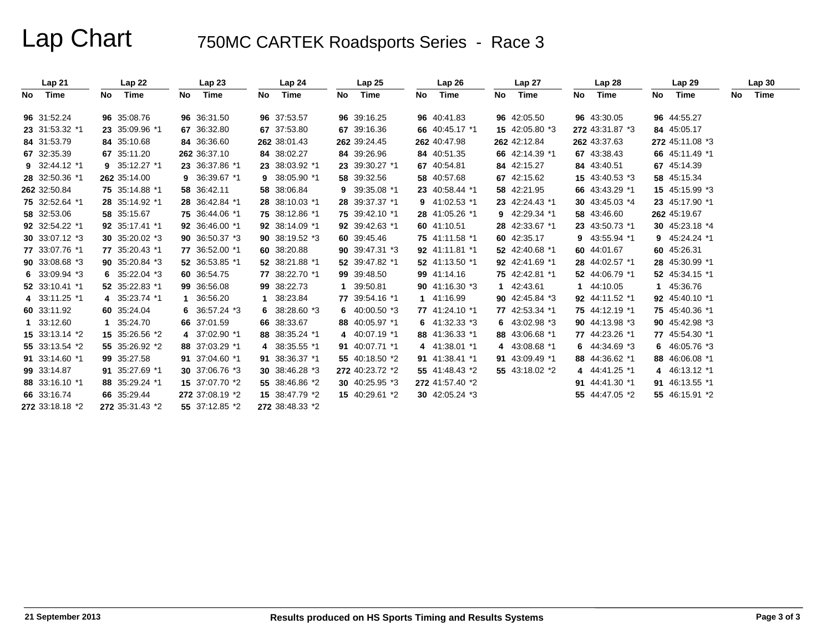# Lap Chart 750MC CARTEK Roadsports Series - Race 3

|    | Lap21           |    | Lap22           |    | Lap <sub>23</sub> |    | Lap 24          |    | Lap25           |    | Lap26            |    | Lap <sub>27</sub> |    | Lap <sub>28</sub> |    | Lap29           |    | Lap <sub>30</sub> |
|----|-----------------|----|-----------------|----|-------------------|----|-----------------|----|-----------------|----|------------------|----|-------------------|----|-------------------|----|-----------------|----|-------------------|
| No | Time            | No | Time            | No | Time              | No | Time            | No | Time            | No | Time             | No | Time              | No | Time              | No | Time            | No | Time              |
|    | 96 31:52.24     |    | 96 35:08.76     |    | 96 36:31.50       |    | 96 37:53.57     |    | 96 39:16.25     |    | 96 40:41.83      |    | 96 42:05.50       |    | 96 43:30.05       |    | 96 44:55.27     |    |                   |
|    | 23 31:53.32 *1  |    | 23 35:09.96 *1  |    | 67 36:32.80       |    | 67 37:53.80     |    | 67 39:16.36     |    | 66 40:45.17 *1   |    | 15 42:05.80 *3    |    | 272 43:31.87 *3   |    | 84 45:05.17     |    |                   |
|    | 84 31:53.79     |    | 84 35:10.68     |    | 84 36:36.60       |    | 262 38:01.43    |    | 262 39:24.45    |    | 262 40:47.98     |    | 262 42:12.84      |    | 262 43:37.63      |    | 272 45:11.08 *3 |    |                   |
|    | 67 32:35.39     |    | 67 35:11.20     |    | 262 36:37.10      |    | 84 38:02.27     |    | 84 39:26.96     |    | 84 40:51.35      |    | 66 42:14.39 *1    |    | 67 43:38.43       |    | 66 45:11.49 *1  |    |                   |
|    | 9 32:44.12 *1   |    | 9 $35:12.27$ *1 |    | 23 36:37.86 *1    |    | 23 38:03.92 *1  |    | 23 39:30.27 *1  |    | 67 40:54.81      |    | 84 42:15.27       |    | 84 43:40.51       |    | 67 45:14.39     |    |                   |
|    | 28 32:50.36 *1  |    | 262 35:14.00    |    | 9 36:39.67 *1     |    | 9 38:05.90 *1   |    | 58 39:32.56     |    | 58 40:57.68      |    | 67 42:15.62       |    | 15 43:40.53 *3    |    | 58 45:15.34     |    |                   |
|    | 262 32:50.84    |    | 75 35:14.88 *1  |    | 58 36:42.11       |    | 58 38:06.84     |    | 9 39:35.08 *1   |    | 23 40:58.44 *1   |    | 58 42:21.95       |    | 66 43:43.29 *1    |    | 15 45:15.99 *3  |    |                   |
|    | 75 32:52.64 *1  |    | 28 35:14.92 *1  |    | 28 36:42.84 *1    |    | 28 38:10.03 *1  |    | 28 39:37.37 *1  |    | 9 41:02.53 *1    |    | 23 42:24.43 *1    |    | 30 43:45.03 *4    |    | 23 45:17.90 *1  |    |                   |
|    | 58 32:53.06     |    | 58 35:15.67     |    | 75 36:44.06 *1    |    | 75 38:12.86 *1  |    | 75 39:42.10 *1  |    | 28 41:05.26 *1   |    | 9 42:29.34 *1     |    | 58 43:46.60       |    | 262 45:19.67    |    |                   |
|    | 92 32:54.22 *1  |    | 92 35:17.41 *1  |    | 92 36:46.00 *1    |    | 92 38:14.09 *1  |    | 92 39:42.63 *1  |    | 60 41:10.51      |    | 28 42:33.67 *1    |    | 23 43:50.73 *1    |    | 30 45:23.18 *4  |    |                   |
|    | 30 33:07.12 *3  |    | 30 35:20.02 *3  |    | 90 36:50.37 *3    |    | 90 38:19.52 *3  |    | 60 39:45.46     |    | 75 41:11.58 *1   |    | 60 42:35.17       |    | 9 43:55.94 *1     |    | 9 45:24.24 *1   |    |                   |
|    | 77 33:07.76 *1  |    | 77 35:20.43 *1  |    | 77 36:52.00 *1    |    | 60 38:20.88     |    | 90 39:47.31 *3  |    | 92 41:11.81 *1   |    | 52 42:40.68 *1    |    | 60 44:01.67       |    | 60 45:26.31     |    |                   |
|    | 90 33:08.68 *3  |    | 90 35:20.84 *3  |    | 52 36:53.85 *1    |    | 52 38:21.88 *1  |    | 52 39:47.82 *1  |    | 52 41:13.50 *1   |    | 92 42:41.69 *1    |    | 28 44:02.57 *1    |    | 28 45:30.99 *1  |    |                   |
|    | 6 33:09.94 *3   |    | 6 $35:22.04*3$  |    | 60 36:54.75       |    | 77 38:22.70 *1  |    | 99 39:48.50     |    | 99 41:14.16      |    | 75 42:42.81 *1    |    | 52 44:06.79 *1    |    | 52 45:34.15 *1  |    |                   |
|    | 52 33:10.41 *1  |    | 52 35:22.83 *1  |    | 99 36:56.08       |    | 99 38:22.73     |    | 1 39:50.81      |    | 90 41:16.30 $*3$ |    | 1 42:43.61        |    | 1 44:10.05        |    | 1 45:36.76      |    |                   |
|    | 4 33:11.25 *1   |    | 4 35:23.74 *1   |    | 36:56.20          |    | 1 38:23.84      |    | 77 39:54.16 *1  |    | 1 41:16.99       |    | 90 42:45.84 *3    |    | 92 44:11.52 *1    |    | 92 45:40.10 *1  |    |                   |
|    | 60 33:11.92     |    | 60 35:24.04     |    | 6 $36:57.24*3$    |    | 6 $38:28.60*3$  |    | 6 $40:00.50*3$  |    | 77 41:24.10 *1   |    | 77 42:53.34 *1    |    | 75 44:12.19 *1    |    | 75 45:40.36 *1  |    |                   |
|    | 1 33:12.60      |    | 1 35:24.70      |    | 66 37:01.59       |    | 66 38:33.67     |    | 88 40:05.97 *1  |    | 6 $41:32.33*3$   |    | 6 $43:02.98*3$    |    | 90 $44:13.98$ *3  |    | 90 45:42.98 *3  |    |                   |
|    | 15 33:13.14 *2  |    | 15 35:26.56 *2  |    | 4 37:02.90 *1     |    | 88 38:35.24 *1  |    | 4 40:07.19 *1   |    | 88 41:36.33 *1   |    | 88 43:06.68 *1    |    | 77 44:23.26 *1    |    | 77 45:54.30 *1  |    |                   |
|    | 55 33:13.54 *2  |    | 55 35:26.92 *2  |    | 88 37:03.29 *1    |    | 4 38:35.55 *1   |    | 91 40:07.71 *1  |    | 4 41:38.01 *1    |    | 4 43:08.68 *1     |    | 6 $44:34.69*3$    |    | 6 46:05.76 *3   |    |                   |
|    | 91 33:14.60 *1  |    | 99 35:27.58     |    | 91 37:04.60 *1    |    | 91 38:36.37 *1  |    | 55 40:18.50 *2  |    | 91 41:38.41 *1   |    | 91 43:09.49 *1    |    | 88 44:36.62 *1    |    | 88 46:06.08 *1  |    |                   |
|    | 99 33:14.87     |    | 91 35:27.69 *1  |    | 30 37:06.76 *3    |    | 30 38:46.28 *3  |    | 272 40:23.72 *2 |    | 55 41:48.43 *2   |    | 55 43:18.02 *2    |    | 4 44:41.25 *1     |    | 4 46:13.12 *1   |    |                   |
|    | 88 33:16.10 *1  |    | 88 35:29.24 *1  |    | 15 37:07.70 *2    |    | 55 38:46.86 *2  |    | 30 40:25.95 *3  |    | 272 41:57.40 *2  |    |                   |    | 91 44:41.30 *1    |    | 91 46:13.55 *1  |    |                   |
|    | 66 33:16.74     |    | 66 35:29.44     |    | 272 37:08.19 *2   |    | 15 38:47.79 *2  |    | 15 40:29.61 *2  |    | 30 42:05.24 *3   |    |                   |    | 55 44:47.05 *2    |    | 55 46:15.91 *2  |    |                   |
|    | 272 33:18.18 *2 |    | 272 35:31.43 *2 |    | 55 37:12.85 *2    |    | 272 38:48.33 *2 |    |                 |    |                  |    |                   |    |                   |    |                 |    |                   |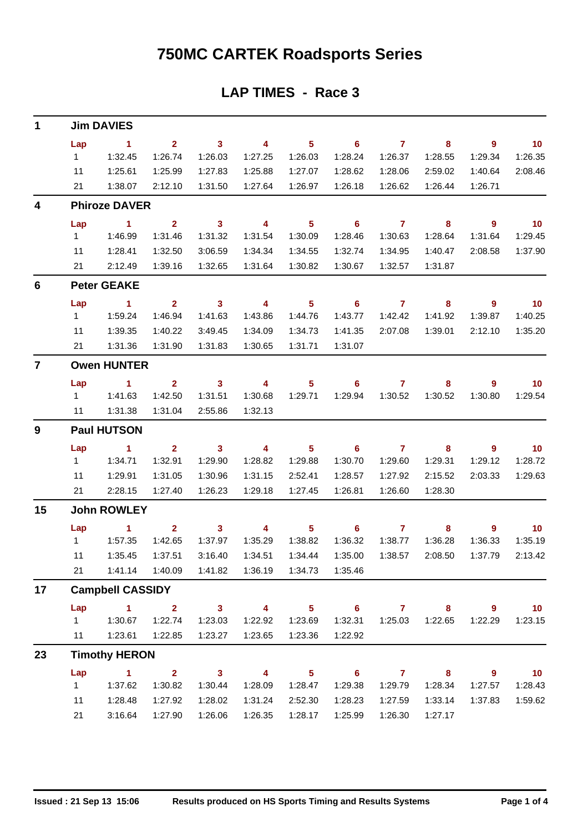#### **LAP TIMES - Race 3**

| $\mathbf 1$             |           | <b>Jim DAVIES</b>       |                         |                            |                         |                            |                            |                |                            |                          |                          |
|-------------------------|-----------|-------------------------|-------------------------|----------------------------|-------------------------|----------------------------|----------------------------|----------------|----------------------------|--------------------------|--------------------------|
|                         | Lap       | $\sim$ 1                | $\mathbf{2}$            | $\sim$ 3                   | $\overline{4}$          | 5 <sub>5</sub>             | $\overline{\phantom{0}}$ 6 | $\overline{7}$ | $\overline{\phantom{a}}$ 8 | $\overline{\phantom{a}}$ | $\blacksquare$ 10        |
|                         | $1 \quad$ | 1:32.45                 | 1:26.74                 | 1:26.03                    | 1:27.25                 | 1:26.03                    | 1:28.24                    | 1:26.37        | 1:28.55                    | 1:29.34                  | 1:26.35                  |
|                         | 11        | 1:25.61                 | 1:25.99                 | 1:27.83                    | 1:25.88                 | 1:27.07                    | 1:28.62                    | 1:28.06        | 2:59.02                    | 1:40.64                  | 2:08.46                  |
|                         |           | 21   1:38.07            | 2:12.10                 | 1:31.50                    | 1:27.64                 | 1:26.97                    | 1:26.18                    | 1:26.62        | 1:26.44                    | 1:26.71                  |                          |
| $\overline{\mathbf{4}}$ |           | <b>Phiroze DAVER</b>    |                         |                            |                         |                            |                            |                |                            |                          |                          |
|                         | Lap       | $\sim$ 1                | $\overline{\mathbf{2}}$ | $\overline{\mathbf{3}}$    | $\overline{4}$          | $\overline{\phantom{0}}$ 5 | $\overline{\phantom{0}}$ 6 | $\overline{7}$ | $\overline{\mathbf{8}}$    | $\overline{\phantom{a}}$ | $\overline{10}$          |
|                         | $1 \quad$ | 1:46.99                 | 1:31.46                 | 1:31.32                    | 1:31.54                 | 1:30.09                    | 1:28.46                    | 1:30.63        | 1:28.64                    | 1:31.64                  | 1:29.45                  |
|                         | 11        | 1:28.41                 | 1:32.50                 | 3:06.59                    | 1:34.34                 | 1:34.55                    | 1:32.74                    | 1:34.95        | 1:40.47                    | 2:08.58                  | 1:37.90                  |
|                         | 21        | 2:12.49                 | 1:39.16                 | 1:32.65                    | 1:31.64                 | 1:30.82                    | 1:30.67                    | 1:32.57        | 1:31.87                    |                          |                          |
| 6                       |           | <b>Peter GEAKE</b>      |                         |                            |                         |                            |                            |                |                            |                          |                          |
|                         | Lap       | $\sim$ 1                | $2^{\circ}$             | $\overline{\mathbf{3}}$    | $\overline{4}$          | 5 <sub>5</sub>             | 6                          | $\overline{7}$ | 8                          | $9^{\circ}$              | $\overline{10}$          |
|                         | $1 \quad$ | 1:59.24                 | 1:46.94                 | 1:41.63                    | 1:43.86                 | 1:44.76                    | 1:43.77                    | 1:42.42        | 1:41.92                    | 1:39.87                  | 1:40.25                  |
|                         | 11        | 1:39.35                 | 1:40.22                 | 3:49.45                    | 1:34.09                 | 1:34.73                    | 1:41.35                    | 2:07.08        | 1:39.01                    | 2:12.10                  | 1:35.20                  |
|                         | 21        | 1:31.36                 | 1:31.90                 | 1:31.83                    | 1:30.65                 | 1:31.71                    | 1:31.07                    |                |                            |                          |                          |
| $\overline{7}$          |           | <b>Owen HUNTER</b>      |                         |                            |                         |                            |                            |                |                            |                          |                          |
|                         | Lap       | $\sim$ 1                | $\overline{\mathbf{2}}$ | $\overline{\mathbf{3}}$    | $\overline{\mathbf{4}}$ | $\overline{\phantom{0}}$ 5 | $\overline{\phantom{0}}$ 6 | $\overline{7}$ | 8                          | $9^{\circ}$              | $\overline{\mathbf{10}}$ |
|                         | $1 \quad$ | 1:41.63                 | 1:42.50                 | 1:31.51                    | 1:30.68                 | 1:29.71                    | 1:29.94                    | 1:30.52        | 1:30.52                    | 1:30.80                  | 1:29.54                  |
|                         | 11        | 1:31.38                 | 1:31.04                 | 2:55.86                    | 1:32.13                 |                            |                            |                |                            |                          |                          |
| 9                       |           | <b>Paul HUTSON</b>      |                         |                            |                         |                            |                            |                |                            |                          |                          |
|                         | Lap       | $\sim$ $\sim$ 1         | $\overline{\mathbf{2}}$ | $\overline{\phantom{a}}$ 3 | $\overline{\mathbf{4}}$ | $\overline{\phantom{0}}$ 5 | $\overline{\phantom{a}}$ 6 | $\overline{7}$ | $\overline{\mathbf{8}}$    | $\overline{\phantom{a}}$ | $\blacksquare$ 10        |
|                         | $1 \quad$ | 1:34.71                 | 1:32.91                 | 1:29.90                    | 1:28.82                 | 1:29.88                    | 1:30.70                    | 1:29.60        | 1:29.31                    | 1:29.12                  | 1:28.72                  |
|                         | 11        | 1:29.91                 | 1:31.05                 | 1:30.96                    | 1:31.15                 | 2:52.41                    | 1:28.57                    | 1:27.92        | 2:15.52                    | 2:03.33                  | 1:29.63                  |
|                         | 21        | 2:28.15                 | 1:27.40                 | 1:26.23                    | 1:29.18                 | 1:27.45                    | 1:26.81                    | 1:26.60        | 1:28.30                    |                          |                          |
| 15                      |           | <b>John ROWLEY</b>      |                         |                            |                         |                            |                            |                |                            |                          |                          |
|                         | Lap       | $\sim$ 1                | $\mathbf{2}$            | $\overline{\mathbf{3}}$    | $\overline{4}$          | 5 <sub>1</sub>             | $\overline{\phantom{0}}$ 6 | $\overline{7}$ | 8                          | 9                        | $\overline{10}$          |
|                         |           |                         | 1:42.65                 | 1:37.97                    | 1:35.29                 | 1:38.82                    | 1:36.32                    | 1:38.77        | 1:36.28                    | 1:36.33                  | 1:35.19                  |
|                         | 11        | 1:35.45                 | 1:37.51                 | 3:16.40                    | 1:34.51                 | 1:34.44                    | 1:35.00                    | 1:38.57        | 2:08.50                    | 1:37.79                  | 2:13.42                  |
|                         | 21        | 1:41.14                 | 1:40.09                 | 1:41.82                    | 1:36.19                 | 1:34.73                    | 1:35.46                    |                |                            |                          |                          |
| 17                      |           | <b>Campbell CASSIDY</b> |                         |                            |                         |                            |                            |                |                            |                          |                          |
|                         | Lap       | $\mathbf{1}$            | 2 <sup>1</sup>          | 3 <sup>7</sup>             | $\overline{\mathbf{4}}$ | 5 <sup>1</sup>             | 6 <sup>1</sup>             | $\mathbf{7}$   | 8                          | $9^{\circ}$              | 10 <sub>1</sub>          |
|                         | $1 -$     | 1:30.67                 | 1:22.74                 | 1:23.03                    | 1:22.92                 | 1:23.69                    | 1:32.31                    | 1:25.03        | 1:22.65                    | 1:22.29                  | 1:23.15                  |
|                         | 11        | 1:23.61                 | 1:22.85                 | 1:23.27                    | 1:23.65                 | 1:23.36                    | 1:22.92                    |                |                            |                          |                          |
| 23                      |           | <b>Timothy HERON</b>    |                         |                            |                         |                            |                            |                |                            |                          |                          |
|                         | Lap       | $\mathbf{1}$            | $\overline{2}$          | $\overline{\mathbf{3}}$    | $\overline{\mathbf{4}}$ | 5 <sub>5</sub>             | $\overline{\phantom{0}}$ 6 | $\overline{7}$ | 8                          | $9^{\circ}$              | 10                       |
|                         | 1         | 1:37.62                 | 1:30.82                 | 1:30.44                    | 1:28.09                 | 1:28.47                    | 1:29.38                    | 1:29.79        | 1:28.34                    | 1:27.57                  | 1:28.43                  |
|                         | 11        | 1:28.48                 | 1:27.92                 | 1:28.02                    | 1:31.24                 | 2:52.30                    | 1:28.23                    | 1:27.59        | 1:33.14                    | 1:37.83                  | 1:59.62                  |
|                         | 21        | 3:16.64                 | 1:27.90                 | 1:26.06                    | 1:26.35                 | 1:28.17                    | 1:25.99                    | 1:26.30        | 1:27.17                    |                          |                          |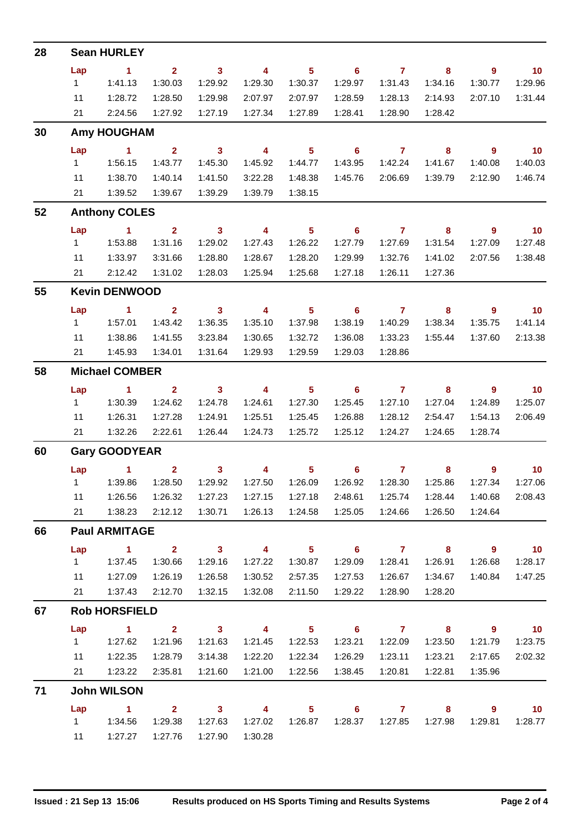| 28 |              | <b>Sean HURLEY</b>    |                         |                            |                         |                            |                            |                |                         |                          |                 |
|----|--------------|-----------------------|-------------------------|----------------------------|-------------------------|----------------------------|----------------------------|----------------|-------------------------|--------------------------|-----------------|
|    | Lap          | $\blacksquare$ 1      | 2 <sup>1</sup>          | $\overline{\mathbf{3}}$    | $\overline{\mathbf{4}}$ | 5 <sub>1</sub>             | $\overline{\phantom{0}}$ 6 | $\overline{7}$ | 8                       | $\overline{9}$           | 10              |
|    | 1            | 1:41.13               | 1:30.03                 | 1:29.92                    | 1:29.30                 | 1:30.37                    | 1:29.97                    | 1:31.43        | 1:34.16                 | 1:30.77                  | 1:29.96         |
|    | 11           | 1:28.72               | 1:28.50                 | 1:29.98                    | 2:07.97                 | 2:07.97                    | 1:28.59                    | 1:28.13        | 2:14.93                 | 2:07.10                  | 1:31.44         |
|    | 21           | 2:24.56               | 1:27.92                 | 1:27.19                    | 1:27.34                 | 1:27.89                    | 1:28.41                    | 1:28.90        | 1:28.42                 |                          |                 |
| 30 |              | <b>Amy HOUGHAM</b>    |                         |                            |                         |                            |                            |                |                         |                          |                 |
|    | Lap          | $\sim$ 1              | $2^{\circ}$             | $\overline{\mathbf{3}}$    | $\overline{\mathbf{4}}$ | 5 <sub>1</sub>             | $\overline{\phantom{0}}$ 6 | $\overline{7}$ | 8                       | $9^{\circ}$              | 10              |
|    | $1 \quad$    | 1:56.15               | 1:43.77                 | 1:45.30                    | 1:45.92                 | 1:44.77                    | 1:43.95                    | 1:42.24        | 1:41.67                 | 1:40.08                  | 1:40.03         |
|    | 11           | 1:38.70               | 1:40.14                 | 1:41.50                    | 3:22.28                 | 1:48.38                    | 1:45.76                    | 2:06.69        | 1:39.79                 | 2:12.90                  | 1:46.74         |
|    | 21           | 1:39.52               | 1:39.67                 | 1:39.29                    | 1:39.79                 | 1:38.15                    |                            |                |                         |                          |                 |
| 52 |              | <b>Anthony COLES</b>  |                         |                            |                         |                            |                            |                |                         |                          |                 |
|    | Lap          | $\mathbf{1}$          | $\overline{2}$          | $\overline{\phantom{a}}$ 3 | 4                       | 5 <sup>1</sup>             | 6                          | $\mathbf{7}$   | 8                       | $\overline{9}$           | $-10$           |
|    | 1            | 1:53.88               | 1:31.16                 | 1:29.02                    | 1:27.43                 | 1:26.22                    | 1:27.79                    | 1:27.69        | 1:31.54                 | 1:27.09                  | 1:27.48         |
|    | 11           | 1:33.97               | 3:31.66                 | 1:28.80                    | 1:28.67                 | 1:28.20                    | 1:29.99                    | 1:32.76        | 1:41.02                 | 2:07.56                  | 1:38.48         |
|    | 21           | 2:12.42               | 1:31.02                 | 1:28.03                    | 1:25.94                 | 1:25.68                    | 1:27.18                    | 1:26.11        | 1:27.36                 |                          |                 |
| 55 |              | <b>Kevin DENWOOD</b>  |                         |                            |                         |                            |                            |                |                         |                          |                 |
|    | Lap          | $\sim$ 1              | 2 <sup>1</sup>          | $\overline{\mathbf{3}}$    | $\overline{4}$          | 5 <sup>5</sup>             | $\overline{\phantom{0}}$ 6 | $\overline{7}$ | $\overline{\mathbf{8}}$ | 9                        | 10              |
|    | 1            | 1:57.01               | 1:43.42                 | 1:36.35                    | 1:35.10                 | 1:37.98                    | 1:38.19                    | 1:40.29        | 1:38.34                 | 1:35.75                  | 1:41.14         |
|    | 11           | 1:38.86               | 1:41.55                 | 3:23.84                    | 1:30.65                 | 1:32.72                    | 1:36.08                    | 1:33.23        | 1:55.44                 | 1:37.60                  | 2:13.38         |
|    | 21           | 1:45.93               | 1:34.01                 | 1:31.64                    | 1:29.93                 | 1:29.59                    | 1:29.03                    | 1:28.86        |                         |                          |                 |
| 58 |              | <b>Michael COMBER</b> |                         |                            |                         |                            |                            |                |                         |                          |                 |
|    | Lap          | $\blacksquare$ 1      | $\overline{2}$          | $\overline{\mathbf{3}}$    | $\overline{\mathbf{4}}$ | 5 <sub>1</sub>             | $\overline{\phantom{a}}$ 6 | $\overline{7}$ | 8                       | 9                        | $\overline{10}$ |
|    | $\mathbf{1}$ | 1:30.39               | 1:24.62                 | 1:24.78                    | 1:24.61                 | 1:27.30                    | 1:25.45                    | 1:27.10        | 1:27.04                 | 1:24.89                  | 1:25.07         |
|    | 11           | 1:26.31               | 1:27.28                 | 1:24.91                    | 1:25.51                 | 1:25.45                    | 1:26.88                    | 1:28.12        | 2:54.47                 | 1:54.13                  | 2:06.49         |
|    | 21           | 1:32.26               | 2:22.61                 | 1:26.44                    | 1:24.73                 | 1:25.72                    | 1:25.12                    | 1:24.27        | 1:24.65                 | 1:28.74                  |                 |
| 60 |              | <b>Gary GOODYEAR</b>  |                         |                            |                         |                            |                            |                |                         |                          |                 |
|    |              | Lap 1                 | $\overline{2}$          | 3 <sup>7</sup>             | $\overline{4}$          | 5 <sub>1</sub>             | 6 <sup>1</sup>             | $\mathbf{7}$   | 8                       | $9^{\circ}$              | 10              |
|    |              |                       | 1:28.50                 | 1:29.92                    | 1:27.50                 | 1:26.09                    | 1:26.92                    | 1:28.30        | 1:25.86                 | 1:27.34                  | 1:27.06         |
|    | 11           | 1:26.56               | 1:26.32                 | 1:27.23                    | 1:27.15                 | 1:27.18                    | 2:48.61                    | 1:25.74        | 1:28.44                 | 1:40.68                  | 2:08.43         |
|    | 21           | 1:38.23               | 2:12.12                 | 1:30.71                    | 1:26.13                 | 1:24.58                    | 1:25.05                    | 1:24.66        | 1:26.50                 | 1:24.64                  |                 |
| 66 |              | <b>Paul ARMITAGE</b>  |                         |                            |                         |                            |                            |                |                         |                          |                 |
|    | Lap          | $\sim$ 1              | $\overline{\mathbf{2}}$ | $\overline{\mathbf{3}}$    | $\overline{\mathbf{4}}$ | $\overline{\phantom{1}}$ 5 |                            | $6$ $7$ $8$    |                         | $\overline{\phantom{a}}$ | $\overline{10}$ |
|    | $1 \quad$    | 1:37.45               | 1:30.66                 | 1:29.16                    | 1:27.22                 | 1:30.87                    | 1:29.09                    | 1:28.41        | 1:26.91                 | 1:26.68                  | 1:28.17         |
|    | 11           | 1:27.09               | 1:26.19                 | 1:26.58                    | 1:30.52                 | 2:57.35                    | 1:27.53                    | 1:26.67        | 1:34.67                 | 1:40.84                  | 1:47.25         |
|    | 21           | 1:37.43               | 2:12.70                 | 1:32.15                    | 1:32.08                 | 2:11.50                    | 1:29.22                    | 1:28.90        | 1:28.20                 |                          |                 |
| 67 |              | <b>Rob HORSFIELD</b>  |                         |                            |                         |                            |                            |                |                         |                          |                 |
|    | Lap          | $\sim$ 1              | $\overline{\mathbf{a}}$ | $\overline{\mathbf{3}}$    | $\overline{\mathbf{A}}$ | $\overline{\phantom{1}}$ 5 | $\overline{\phantom{0}}$ 6 | $7 \t 8$       |                         | $9^{\circ}$              | $\overline{10}$ |
|    | $1 \quad$    | 1:27.62               | 1:21.96                 | 1:21.63                    | 1:21.45                 | 1:22.53                    | 1:23.21                    | 1:22.09        | 1:23.50                 | 1:21.79                  | 1:23.75         |
|    | 11           | 1:22.35               | 1:28.79                 | 3:14.38                    | 1:22.20                 | 1:22.34                    | 1:26.29                    | 1:23.11        | 1:23.21                 | 2:17.65                  | 2:02.32         |
|    | 21           | 1:23.22               | 2:35.81                 | 1:21.60                    | 1:21.00                 | 1:22.56                    | 1:38.45                    | 1:20.81        | 1:22.81                 | 1:35.96                  |                 |
| 71 |              | <b>John WILSON</b>    |                         |                            |                         |                            |                            |                |                         |                          |                 |
|    | Lap          | $\sim$ 1              | $\overline{\mathbf{2}}$ | $\overline{\mathbf{3}}$    | $\overline{4}$          | 5 <sub>5</sub>             | $\overline{\phantom{a}}$ 6 | $\overline{7}$ | 8                       | $9^{\circ}$              | 10              |
|    |              |                       | 1:29.38                 | 1:27.63                    | 1:27.02                 | 1:26.87                    |                            |                | 1:27.98                 | 1:29.81                  | 1:28.77         |
|    | 11           | 1:27.27               | 1:27.76                 | 1:27.90                    | 1:30.28                 |                            |                            |                |                         |                          |                 |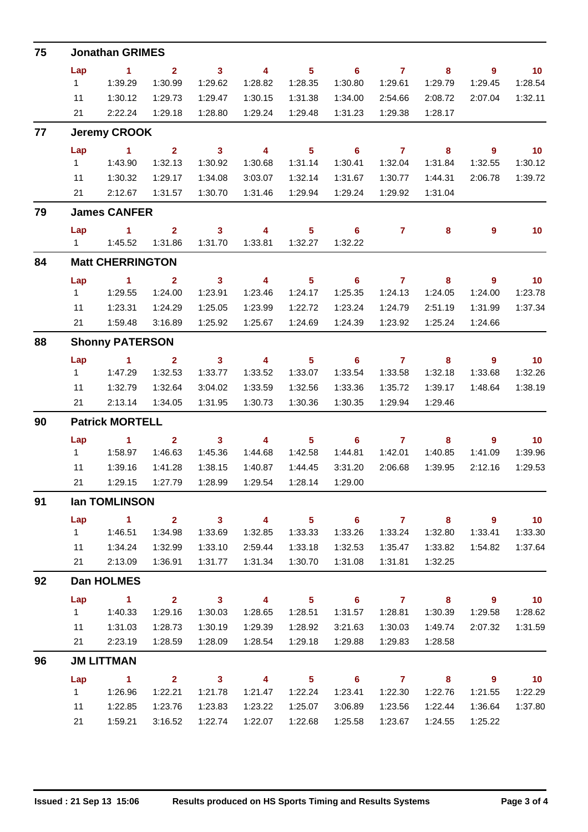| 75 | <b>Jonathan GRIMES</b>  |                        |                         |                         |                          |                            |                            |                |                         |                            |                             |
|----|-------------------------|------------------------|-------------------------|-------------------------|--------------------------|----------------------------|----------------------------|----------------|-------------------------|----------------------------|-----------------------------|
|    | Lap                     | $\blacksquare$         | $\overline{2}$          | 3 <sup>1</sup>          | $\overline{\phantom{a}}$ | 5 <sub>5</sub>             | $\overline{\phantom{0}}$ 6 | $\overline{7}$ | 8                       | $\overline{9}$             | $\overline{10}$             |
|    | 1                       | 1:39.29                | 1:30.99                 | 1:29.62                 | 1:28.82                  | 1:28.35                    | 1:30.80                    | 1:29.61        | 1:29.79                 | 1:29.45                    | 1:28.54                     |
|    | 11                      | 1:30.12                | 1:29.73                 | 1:29.47                 | 1:30.15                  | 1:31.38                    | 1:34.00                    | 2:54.66        | 2:08.72                 | 2:07.04                    | 1:32.11                     |
|    | 21                      | 2:22.24                | 1:29.18                 | 1:28.80                 | 1:29.24                  | 1:29.48                    | 1:31.23                    | 1:29.38        | 1:28.17                 |                            |                             |
| 77 | <b>Jeremy CROOK</b>     |                        |                         |                         |                          |                            |                            |                |                         |                            |                             |
|    | Lap                     | $\sim$ 1               | $\overline{2}$          | $\overline{\mathbf{3}}$ | $\overline{\mathbf{4}}$  | 5 <sup>1</sup>             | $\overline{\phantom{0}}$ 6 | $\overline{7}$ | 8                       | $\overline{9}$             | 10                          |
|    | $1 \quad$               | 1:43.90                | 1:32.13                 | 1:30.92                 | 1:30.68                  | 1:31.14                    | 1:30.41                    | 1:32.04        | 1:31.84                 | 1:32.55                    | 1:30.12                     |
|    | 11                      | 1:30.32                | 1:29.17                 | 1:34.08                 | 3:03.07                  | 1:32.14                    | 1:31.67                    | 1:30.77        | 1:44.31                 | 2:06.78                    | 1:39.72                     |
|    | 21                      | 2:12.67                | 1:31.57                 | 1:30.70                 | 1:31.46                  | 1:29.94                    | 1:29.24                    | 1:29.92        | 1:31.04                 |                            |                             |
| 79 | <b>James CANFER</b>     |                        |                         |                         |                          |                            |                            |                |                         |                            |                             |
|    | Lap                     | $\blacktriangleleft$   | $\overline{2}$          | 3 <sup>1</sup>          | $\overline{\mathbf{4}}$  | 5 <sup>5</sup>             | $6^{\circ}$                | $\mathbf{7}$   | 8                       | 9                          | 10                          |
|    |                         |                        | 1:31.86                 | 1:31.70                 | 1:33.81                  | 1:32.27                    | 1:32.22                    |                |                         |                            |                             |
| 84 | <b>Matt CHERRINGTON</b> |                        |                         |                         |                          |                            |                            |                |                         |                            |                             |
|    | Lap                     | $\sim$ 1               | $\mathbf{2}$            | $\overline{\mathbf{3}}$ | $\overline{4}$           | 5 <sup>1</sup>             | $\overline{\phantom{0}}$ 6 | $\overline{7}$ | 8                       | $\overline{9}$             | 10                          |
|    | 1                       | 1:29.55                | 1:24.00                 | 1:23.91                 | 1:23.46                  | 1:24.17                    | 1:25.35                    | 1:24.13        | 1:24.05                 | 1:24.00                    | 1:23.78                     |
|    | 11                      | 1:23.31                | 1:24.29                 | 1:25.05                 | 1:23.99                  | 1:22.72                    | 1:23.24                    | 1:24.79        | 2:51.19                 | 1:31.99                    | 1:37.34                     |
|    | 21                      | 1:59.48                | 3:16.89                 | 1:25.92                 | 1:25.67                  | 1:24.69                    | 1:24.39                    | 1:23.92        | 1:25.24                 | 1:24.66                    |                             |
| 88 | <b>Shonny PATERSON</b>  |                        |                         |                         |                          |                            |                            |                |                         |                            |                             |
|    | Lap                     | $\mathbf{1}$           | $\overline{2}$          | $\mathbf{3}$            | $\overline{\mathbf{4}}$  | 5 <sup>5</sup>             | $6\phantom{1}$             | $\mathbf{7}$   | 8                       | $9^{\circ}$                | 10                          |
|    | 1                       | 1:47.29                | 1:32.53                 | 1:33.77                 | 1:33.52                  | 1:33.07                    | 1:33.54                    | 1:33.58        | 1:32.18                 | 1:33.68                    | 1:32.26                     |
|    | 11                      | 1:32.79                | 1:32.64                 | 3:04.02                 | 1:33.59                  | 1:32.56                    | 1:33.36                    | 1:35.72        | 1:39.17                 | 1:48.64                    | 1:38.19                     |
|    | 21                      | 2:13.14                | 1:34.05                 | 1:31.95                 | 1:30.73                  | 1:30.36                    | 1:30.35                    | 1:29.94        | 1:29.46                 |                            |                             |
| 90 | <b>Patrick MORTELL</b>  |                        |                         |                         |                          |                            |                            |                |                         |                            |                             |
|    | Lap                     | $\mathbf{1}$           | $\overline{2}$          | 3 <sup>1</sup>          | $\overline{4}$           | 5 <sup>5</sup>             | 6                          | $\overline{7}$ | 8                       | $9^{\circ}$                | 10                          |
|    | 1                       | 1:58.97                | 1:46.63                 | 1:45.36                 | 1:44.68                  | 1:42.58                    | 1:44.81                    | 1:42.01        | 1:40.85                 | 1:41.09                    | 1:39.96                     |
|    | 11                      | 1:39.16                | 1:41.28                 | 1:38.15                 | 1:40.87                  | 1:44.45                    | 3:31.20                    | 2:06.68        | 1:39.95                 | 2:12.16                    | 1:29.53                     |
|    | 21                      | 1:29.15                | 1:27.79                 | 1:28.99                 | 1:29.54                  | 1:28.14                    | 1:29.00                    |                |                         |                            |                             |
| 91 | <b>Ian TOMLINSON</b>    |                        |                         |                         |                          |                            |                            |                |                         |                            |                             |
|    | Lap                     | $\sim$ 1               | $\overline{2}$          | $\overline{\mathbf{3}}$ | $\overline{\mathbf{4}}$  | $\overline{\phantom{0}}$ 5 | $\overline{\phantom{0}}$ 6 | $\overline{7}$ | $\overline{\mathbf{8}}$ | $\overline{\phantom{a}}$   | $\overline{10}$             |
|    | 1                       | 1:46.51                | 1:34.98                 | 1:33.69                 | 1:32.85                  | 1:33.33                    | 1:33.26                    | 1:33.24        | 1:32.80                 | 1:33.41                    | 1:33.30                     |
|    | 11                      | 1:34.24                | 1:32.99                 | 1:33.10                 | 2:59.44                  | 1:33.18                    | 1:32.53                    | 1:35.47        | 1:33.82                 | 1:54.82                    | 1:37.64                     |
|    | 21                      | 2:13.09                | 1:36.91                 | 1:31.77                 | 1:31.34                  | 1:30.70                    | 1:31.08                    | 1:31.81        | 1:32.25                 |                            |                             |
| 92 | <b>Dan HOLMES</b>       |                        |                         |                         |                          |                            |                            |                |                         |                            |                             |
|    | Lap                     | $\sim$ $\sim$ $\sim$ 1 | $\overline{\mathbf{2}}$ |                         | $3 \t 4$                 | $\overline{\phantom{1}}$ 5 |                            | $6$ $7$ $8$    |                         | $\overline{\phantom{a}}$   | $\overline{\phantom{0}}$ 10 |
|    | $1 \quad$               | 1:40.33                | 1:29.16                 | 1:30.03                 | 1:28.65                  | 1:28.51                    | 1:31.57                    | 1:28.81        | 1:30.39                 | 1:29.58                    | 1:28.62                     |
|    | 11                      | 1:31.03                | 1:28.73                 | 1:30.19                 | 1:29.39                  | 1:28.92                    | 3:21.63                    | 1:30.03        | 1:49.74                 | 2:07.32                    | 1:31.59                     |
|    | 21                      | 2:23.19                | 1:28.59                 | 1:28.09                 | 1:28.54                  | 1:29.18                    | 1:29.88                    | 1:29.83        | 1:28.58                 |                            |                             |
| 96 | <b>JM LITTMAN</b>       |                        |                         |                         |                          |                            |                            |                |                         |                            |                             |
|    | Lap                     | $\sim$ 1               | $\overline{\mathbf{2}}$ | $\overline{\mathbf{3}}$ | $\overline{\mathbf{4}}$  | $\overline{\phantom{1}}$ 5 | $\overline{\phantom{0}}$ 6 | $7 \t 8$       |                         | $\overline{\phantom{a}}$ 9 | $\overline{10}$             |
|    | $1 \quad$               | 1:26.96                | 1:22.21                 | 1:21.78                 | 1:21.47                  | 1:22.24                    | 1:23.41                    | 1:22.30        | 1:22.76                 | 1:21.55                    | 1:22.29                     |
|    | 11                      | 1:22.85                | 1:23.76                 | 1:23.83                 | 1:23.22                  | 1:25.07                    | 3:06.89                    | 1:23.56        | 1:22.44                 | 1:36.64                    | 1:37.80                     |
|    | 21                      | 1:59.21                | 3:16.52                 | 1:22.74                 | 1:22.07                  | 1:22.68                    | 1:25.58                    | 1:23.67        | 1:24.55                 | 1:25.22                    |                             |